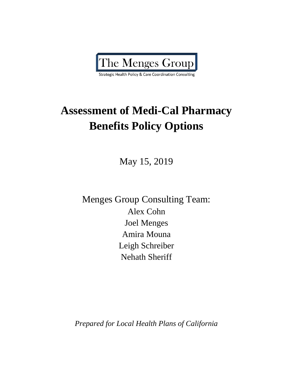

# **Assessment of Medi-Cal Pharmacy Benefits Policy Options**

May 15, 2019

Menges Group Consulting Team: Alex Cohn Joel Menges Amira Mouna Leigh Schreiber Nehath Sheriff

*Prepared for Local Health Plans of California*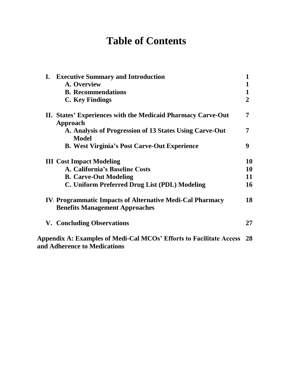# **Table of Contents**

| <b>I.</b> Executive Summary and Introduction<br>A. Overview<br><b>B.</b> Recommendations<br><b>C. Key Findings</b>                                 | 1<br>$\overline{2}$  |
|----------------------------------------------------------------------------------------------------------------------------------------------------|----------------------|
| II. States' Experiences with the Medicaid Pharmacy Carve-Out<br>Approach                                                                           | 7                    |
| A. Analysis of Progression of 13 States Using Carve-Out<br><b>Model</b>                                                                            | 7                    |
| <b>B. West Virginia's Post Carve-Out Experience</b>                                                                                                | 9                    |
| <b>III</b> Cost Impact Modeling<br>A. California's Baseline Costs<br><b>B. Carve-Out Modeling</b><br>C. Uniform Preferred Drug List (PDL) Modeling | 10<br>10<br>11<br>16 |
| <b>IV. Programmatic Impacts of Alternative Medi-Cal Pharmacy</b><br><b>Benefits Management Approaches</b>                                          | 18                   |
| <b>V. Concluding Observations</b>                                                                                                                  | 27                   |
| Appendix A: Examples of Medi-Cal MCOs' Efforts to Facilitate Access<br>and Adherence to Medications                                                | 28                   |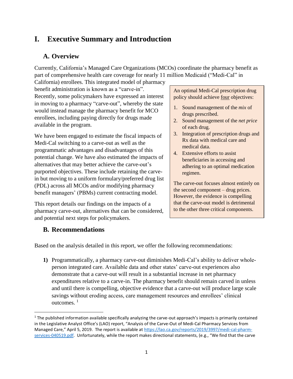# **I. Executive Summary and Introduction**

### **A. Overview**

Currently, California's Managed Care Organizations (MCOs) coordinate the pharmacy benefit as part of comprehensive health care coverage for nearly 11 million Medicaid ("Medi-Cal" in

California) enrollees. This integrated model of pharmacy benefit administration is known as a "carve-in". Recently, some policymakers have expressed an interest in moving to a pharmacy "carve-out", whereby the state would instead manage the pharmacy benefit for MCO enrollees, including paying directly for drugs made available in the program.

We have been engaged to estimate the fiscal impacts of Medi-Cal switching to a carve-out as well as the programmatic advantages and disadvantages of this potential change. We have also estimated the impacts of alternatives that may better achieve the carve-out's purported objectives. These include retaining the carvein but moving to a uniform formulary/preferred drug list (PDL) across all MCOs and/or modifying pharmacy benefit managers' (PBMs) current contracting model.

This report details our findings on the impacts of a pharmacy carve-out, alternatives that can be considered, and potential next steps for policymakers.

### **B. Recommendations**

 $\overline{\phantom{a}}$ 

An optimal Medi-Cal prescription drug policy should achieve four objectives:

- 1. Sound management of the *mix* of drugs prescribed.
- 2. Sound management of the *net price* of each drug.
- 3. Integration of prescription drugs and Rx data with medical care and medical data.
- 4. Extensive efforts to assist beneficiaries in accessing and adhering to an optimal medication regimen.

The carve-out focuses almost entirely on the second component – drug prices. However, the evidence is compelling that the carve-out model is detrimental to the other three critical components.

Based on the analysis detailed in this report, we offer the following recommendations:

**1)** Programmatically, a pharmacy carve-out diminishes Medi-Cal's ability to deliver wholeperson integrated care. Available data and other states' carve-out experiences also demonstrate that a carve-out will result in a substantial increase in net pharmacy expenditures relative to a carve-in. The pharmacy benefit should remain carved in unless and until there is compelling, objective evidence that a carve-out will produce large scale savings without eroding access, care management resources and enrollees' clinical outcomes.<sup>1</sup>

 $1$  The published information available specifically analyzing the carve-out approach's impacts is primarily contained in the Legislative Analyst Office's (LAO) report, "Analysis of the Carve-Out of Medi-Cal Pharmacy Services from Managed Care," April 5, 2019. The report is available at [https://lao.ca.gov/reports/2019/3997/medi-cal-pharm](https://lao.ca.gov/reports/2019/3997/medi-cal-pharm-services-040519.pdf)[services-040519.pdf.](https://lao.ca.gov/reports/2019/3997/medi-cal-pharm-services-040519.pdf) Unfortunately, while the report makes directional statements, (e.g., "We find that the carve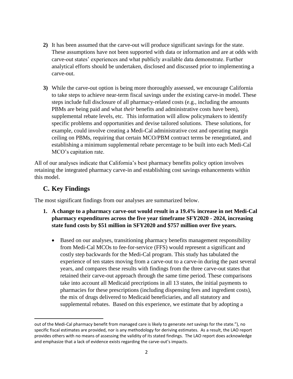- **2)** It has been assumed that the carve-out will produce significant savings for the state. These assumptions have not been supported with data or information and are at odds with carve-out states' experiences and what publicly available data demonstrate. Further analytical efforts should be undertaken, disclosed and discussed prior to implementing a carve-out.
- **3)** While the carve-out option is being more thoroughly assessed, we encourage California to take steps to achieve near-term fiscal savings under the existing carve-in model. These steps include full disclosure of all pharmacy-related costs (e.g., including the amounts PBMs are being paid and what *their* benefits and administrative costs have been), supplemental rebate levels, etc. This information will allow policymakers to identify specific problems and opportunities and devise tailored solutions. These solutions, for example, could involve creating a Medi-Cal administrative cost and operating margin ceiling on PBMs, requiring that certain MCO/PBM contract terms be renegotiated, and establishing a minimum supplemental rebate percentage to be built into each Medi-Cal MCO's capitation rate.

All of our analyses indicate that California's best pharmacy benefits policy option involves retaining the integrated pharmacy carve-in and establishing cost savings enhancements within this model.

### **C. Key Findings**

l

The most significant findings from our analyses are summarized below.

- **1. A change to a pharmacy carve-out would result in a 19.4% increase in net Medi-Cal pharmacy expenditures across the five year timeframe SFY2020 - 2024, increasing state fund costs by \$51 million in SFY2020 and \$757 million over five years.**
	- Based on our analyses, transitioning pharmacy benefits management responsibility from Medi-Cal MCOs to fee-for-service (FFS) would represent a significant and costly step backwards for the Medi-Cal program. This study has tabulated the experience of ten states moving from a carve-out to a carve-in during the past several years, and compares these results with findings from the three carve-out states that retained their carve-out approach through the same time period. These comparisons take into account all Medicaid precriptions in all 13 states, the initial payments to pharmacies for these prescriptions (including dispensing fees and ingredient costs), the mix of drugs delivered to Medicaid beneficiaries, and all statutory and supplemental rebates. Based on this experience, we estimate that by adopting a

out of the Medi-Cal pharmacy benefit from managed care is likely to generate *net* savings for the state."), no specific fiscal estimates are provided, nor is any methodology for deriving estimates. As a result, the LAO report provides others with no means of assessing the validity of its stated findings. The LAO report does acknowledge and emphasize that a lack of evidence exists regarding the carve-out's impacts.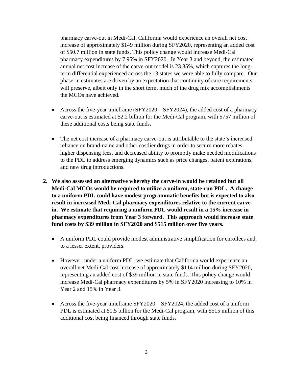pharmacy carve-out in Medi-Cal, California would experience an overall net cost increase of approximately \$149 million during SFY2020, representing an added cost of \$50.7 million in state funds. This policy change would increase Medi-Cal pharmacy expenditures by 7.95% in SFY2020. In Year 3 and beyond, the estimated annual net cost increase of the carve-out model is 23.85%, which captures the longterm differential experienced across the 13 states we were able to fully compare. Our phase-in estimates are driven by an expectation that continuity of care requirements will preserve, albeit only in the short term, much of the drug mix accomplishments the MCOs have achieved.

- Across the five-year timeframe (SFY2020 SFY2024), the added cost of a pharmacy carve-out is estimated at \$2.2 billion for the Medi-Cal program, with \$757 million of these additional costs being state funds.
- The net cost increase of a pharmacy carve-out is attributable to the state's increased reliance on brand-name and other costlier drugs in order to secure more rebates, higher dispensing fees, and decreased ability to promptly make needed modifications to the PDL to address emerging dynamics such as price changes, patent expirations, and new drug introductions.
- **2. We also assessed an alternative whereby the carve-in would be retained but all Medi-Cal MCOs would be required to utilize a uniform, state-run PDL. A change to a uniform PDL could have modest programmatic benefits but is expected to also result in increased Medi-Cal pharmacy expenditures relative to the current carvein. We estimate that requiring a uniform PDL would result in a 15% increase in pharmacy expenditures from Year 3 forward. This approach would increase state fund costs by \$39 million in SFY2020 and \$515 million over five years.**
	- A uniform PDL could provide modest administrative simplification for enrollees and, to a lesser extent, providers.
	- However, under a uniform PDL, we estimate that California would experience an overall net Medi-Cal cost increase of approximately \$114 million during SFY2020, representing an added cost of \$39 million in state funds. This policy change would increase Medi-Cal pharmacy expenditures by 5% in SFY2020 increasing to 10% in Year 2 and 15% in Year 3.
	- Across the five-year timeframe SFY2020 SFY2024, the added cost of a uniform PDL is estimated at \$1.5 billion for the Medi-Cal program, with \$515 million of this additional cost being financed through state funds.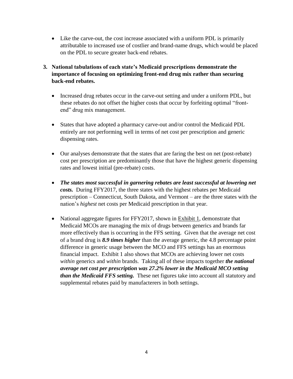- Like the carve-out, the cost increase associated with a uniform PDL is primarily attributable to increased use of costlier and brand-name drugs, which would be placed on the PDL to secure greater back-end rebates.
- **3. National tabulations of each state's Medicaid prescriptions demonstrate the importance of focusing on optimizing front-end drug mix rather than securing back-end rebates.**
	- Increased drug rebates occur in the carve-out setting and under a uniform PDL, but these rebates do not offset the higher costs that occur by forfeiting optimal "frontend" drug mix management.
	- States that have adopted a pharmacy carve-out and/or control the Medicaid PDL entirely are not performing well in terms of net cost per prescription and generic dispensing rates.
	- Our analyses demonstrate that the states that are faring the best on net (post-rebate) cost per prescription are predominantly those that have the highest generic dispensing rates and lowest initial (pre-rebate) costs.
	- *The states most successful in garnering rebates are least successful at lowering net costs.* During FFY2017, the three states with the highest rebates per Medicaid prescription – Connecticut, South Dakota, and Vermont – are the three states with the nation's *highest* net costs per Medicaid prescription in that year.
	- National aggregate figures for FFY2017, shown in Exhibit 1, demonstrate that Medicaid MCOs are managing the mix of drugs between generics and brands far more effectively than is occurring in the FFS setting. Given that the average net cost of a brand drug is *8.9 times higher* than the average generic, the 4.8 percentage point difference in generic usage between the MCO and FFS settings has an enormous financial impact. Exhibit 1 also shows that MCOs are achieving lower net costs *within* generics and *within* brands. Taking all of these impacts together *the national average net cost per prescription was 27.2% lower in the Medicaid MCO setting than the Medicaid FFS setting.* These net figures take into account all statutory and supplemental rebates paid by manufacterers in both settings.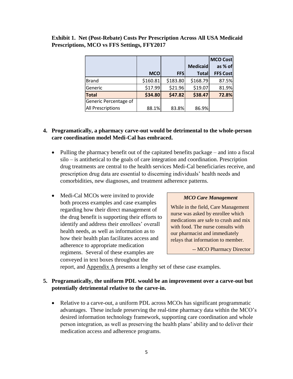|                          |            |            |                 | <b>MCO Cost</b> |
|--------------------------|------------|------------|-----------------|-----------------|
|                          |            |            | <b>Medicaid</b> | as % of         |
|                          | <b>MCO</b> | <b>FFS</b> | <b>Total</b>    | <b>FFS Cost</b> |
| <b>Brand</b>             | \$160.81   | \$183.80   | \$168.79        | 87.5%           |
| Generic                  | \$17.99    | \$21.96    | \$19.07         | 81.9%           |
| <b>Total</b>             | \$34.80    | \$47.82    | \$38.47         | 72.8%           |
| Generic Percentage of    |            |            |                 |                 |
| <b>All Prescriptions</b> | 88.1%      | 83.8%      | 86.9%           |                 |

### **Exhibit 1. Net (Post-Rebate) Costs Per Prescription Across All USA Medicaid Prescriptions, MCO vs FFS Settings, FFY2017**

### **4. Programatically, a pharmacy carve-out would be detrimental to the whole-person care coordination model Medi-Cal has embraced.**

- Pulling the pharmacy benefit out of the capitated benefits package and into a fiscal silo – is antithetical to the goals of care integration and coordination. Prescription drug treatments are central to the health services Medi-Cal beneficiaries receive, and prescription drug data are essential to discerning individuals' health needs and comorbidities, new diagnoses, and treatment adherence patterns.
- Medi-Cal MCOs were invited to provide both process examples and case examples regarding how their direct management of the drug benefit is supporting their efforts to identify and address their enrollees' overall health needs, as well as information as to how their health plan facilitates access and adherence to appropriate medication regimens. Several of these examples are conveyed in text boxes throughout the

### *MCO Care Management*

While in the field, Care Management nurse was asked by enrollee which medications are safe to crush and mix with food. The nurse consults with our pharmacist and immediately relays that information to member.

-- MCO Pharmacy Director

report, and **Appendix A** presents a lengthy set of these case examples.

### **5. Programatically, the uniform PDL would be an improvement over a carve-out but potentially detrimental relative to the carve-in.**

• Relative to a carve-out, a uniform PDL across MCOs has significant programmatic advantages. These include preserving the real-time pharmacy data within the MCO's desired information technology framework, supporting care coordination and whole person integration, as well as preserving the health plans' ability and to deliver their medication access and adherence programs.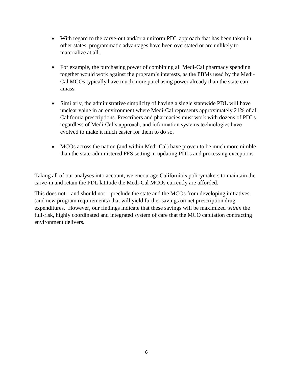- With regard to the carve-out and/or a uniform PDL approach that has been taken in other states, programmatic advantages have been overstated or are unlikely to materialize at all..
- For example, the purchasing power of combining all Medi-Cal pharmacy spending together would work against the program's interests, as the PBMs used by the Medi-Cal MCOs typically have much more purchasing power already than the state can amass.
- Similarly, the administrative simplicity of having a single statewide PDL will have unclear value in an environment where Medi-Cal represents approximately 21% of all California prescriptions. Prescribers and pharmacies must work with dozens of PDLs regardless of Medi-Cal's approach, and information systems technologies have evolved to make it much easier for them to do so.
- MCOs across the nation (and within Medi-Cal) have proven to be much more nimble than the state-administered FFS setting in updating PDLs and processing exceptions.

Taking all of our analyses into account, we encourage California's policymakers to maintain the carve-in and retain the PDL latitude the Medi-Cal MCOs currently are afforded.

This does not – and should not – preclude the state and the MCOs from developing initiatives (and new program requirements) that will yield further savings on net prescription drug expenditures. However, our findings indicate that these savings will be maximized *within* the full-risk, highly coordinated and integrated system of care that the MCO capitation contracting environment delivers.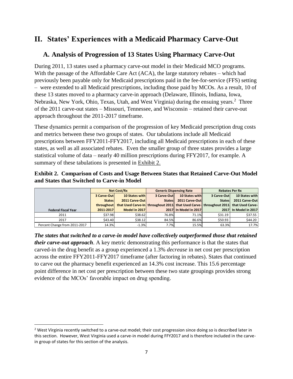# **II. States' Experiences with a Medicaid Pharmacy Carve-Out**

### **A. Analysis of Progression of 13 States Using Pharmacy Carve-Out**

During 2011, 13 states used a pharmacy carve-out model in their Medicaid MCO programs. With the passage of the Affordable Care Act (ACA), the large statutory rebates – which had previously been payable only for Medicaid prescriptions paid in the fee-for-service (FFS) setting – were extended to all Medicaid prescriptions, including those paid by MCOs. As a result, 10 of these 13 states moved to a pharmacy carve-in approach (Delaware, Illinois, Indiana, Iowa, Nebraska, New York, Ohio, Texas, Utah, and West Virginia) during the ensuing years.<sup>2</sup> Three of the 2011 carve-out states – Missouri, Tennessee, and Wisconsin – retained their carve-out approach throughout the 2011-2017 timeframe.

These dynamics permit a comparison of the progression of key Medicaid prescription drug costs and metrics between these two groups of states. Our tabulations include all Medicaid prescriptions between FFY2011-FFY2017, including all Medicaid prescriptions in each of these states, as well as all associated rebates. Even the smaller group of three states provides a large statistical volume of data – nearly 40 million prescriptions during FFY2017, for example. A summary of these tabulations is presented in Exhibit 2.

|                                            |  |  | <b>Exhibit 2. Comparison of Costs and Usage Between States that Retained Carve-Out Model</b> |
|--------------------------------------------|--|--|----------------------------------------------------------------------------------------------|
| and States that Switched to Carve-in Model |  |  |                                                                                              |

|                               | Net Cost/Rx   |                                                                                      | <b>Generic Dispensing Rate</b> |                       | <b>Rebates Per Rx</b> |                       |
|-------------------------------|---------------|--------------------------------------------------------------------------------------|--------------------------------|-----------------------|-----------------------|-----------------------|
|                               | 3 Carve-Out   | <b>10 States with</b>                                                                | 3 Carve-Out                    | 10 States with        | 3 Carve-Outl          | 10 States with        |
|                               | <b>States</b> | 2011 Carve-Out                                                                       | <b>States</b>                  | 2011 Carve-Out        | <b>States</b>         | 2011 Carve-Out        |
|                               | throughout    | that Used Carve-In throughout 2011 that Used Carve- throughout 2011 that Used Carve- |                                |                       |                       |                       |
| <b>Federal Fiscal Year</b>    | 2011-2017     | Model in 2017                                                                        |                                | 2017 In Model in 2017 |                       | 2017 In Model in 2017 |
| 2011                          | \$37.98       | \$38.62                                                                              | 76.8%                          | 71.1%                 | \$31.19               | \$37.55               |
| 2017                          | \$43.40       | \$38.12                                                                              | 84.5%                          | 86.6%                 | \$50.93               | \$44.20               |
| Percent Change from 2011-2017 | 14.3%         | $-1.3%$                                                                              | 7.7%                           | 15.5%                 | 63.3%                 | 17.7%                 |

*The states that switched to a carve-in model have collectively outperformed those that retained their carve-out approach*. A key metric demonstrating this performance is that the states that carved-in the drug benefit as a group experienced a 1.3% *decrease* in net cost per prescription across the entire FFY2011-FFY2017 timeframe (after factoring in rebates). States that continued to carve out the pharmacy benefit experienced an 14.3% cost increase. This 15.6 percentage point difference in net cost per prescription between these two state groupings provides strong evidence of the MCOs' favorable impact on drug spending.

 $\overline{a}$ 

<sup>&</sup>lt;sup>2</sup> West Virginia recently switched to a carve-out model; their cost progression since doing so is described later in this section. However, West Virginia used a carve-in model during FFY2017 and is therefore included in the carvein group of states for this section of the analysis.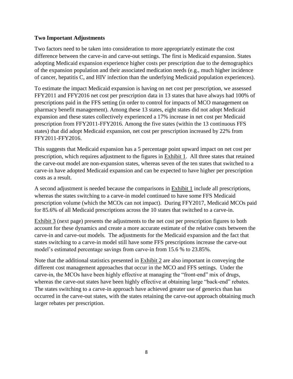### **Two Important Adjustments**

Two factors need to be taken into consideration to more appropriately estimate the cost difference between the carve-in and carve-out settings. The first is Medicaid expansion. States adopting Medicaid expansion experience higher costs per prescription due to the demographics of the expansion population and their associated medication needs (e.g., much higher incidence of cancer, hepatitis C, and HIV infection than the underlying Medicaid population experiences).

To estimate the impact Medicaid expansion is having on net cost per prescription, we assessed FFY2011 and FFY2016 net cost per prescription data in 13 states that have always had 100% of prescriptions paid in the FFS setting (in order to control for impacts of MCO management on pharmacy benefit management). Among these 13 states, eight states did not adopt Medicaid expansion and these states collectively experienced a 17% increase in net cost per Medicaid prescription from FFY2011-FFY2016. Among the five states (within the 13 continuous FFS states) that did adopt Medicaid expansion, net cost per prescription increased by 22% from FFY2011-FFY2016.

This suggests that Medicaid expansion has a 5 percentage point upward impact on net cost per prescription, which requires adjustment to the figures in Exhibit 1. All three states that retained the carve-out model are non-expansion states, whereas seven of the ten states that switched to a carve-in have adopted Medicaid expansion and can be expected to have higher per prescription costs as a result.

A second adjustment is needed because the comparisons in Exhibit 1 include all prescriptions, whereas the states switching to a carve-in model continued to have some FFS Medicaid prescription volume (which the MCOs can not impact). During FFY2017, Medicaid MCOs paid for 85.6% of all Medicaid prescriptions across the 10 states that switched to a carve-in.

Exhibit 3 (next page) presents the adjustments to the net cost per prescription figures to both account for these dynamics and create a more accurate estimate of the relative costs between the carve-in and carve-out models. The adjustments for the Medicaid expansion and the fact that states switching to a carve-in model still have some FFS prescriptions increase the carve-out model's estimated percentage savings from carve-in from 15.6 % to 23.85%.

Note that the additional statistics presented in Exhibit 2 are also important in conveying the different cost management approaches that occur in the MCO and FFS settings. Under the carve-in, the MCOs have been highly effective at managing the "front-end" mix of drugs, whereas the carve-out states have been highly effective at obtaining large "back-end" rebates. The states switching to a carve-in approach have achieved greater use of generics than has occurred in the carve-out states, with the states retaining the carve-out approach obtaining much larger rebates per prescription.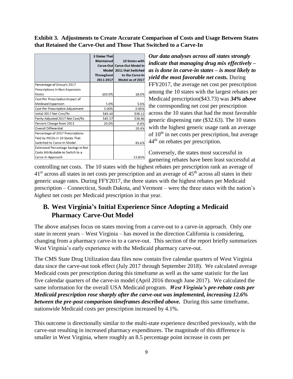**Exhibit 3. Adjustments to Create Accurate Comparison of Costs and Usage Between States that Retained the Carve-Out and Those That Switched to a Carve-In**

|                                     | <b>3 States That</b><br><b>Maintained</b><br>Throughout<br>2011-2017 | 10 States with<br>Carve-Out Carve-Out Model in<br>Model 2011 that Switched<br>to the Carve-In<br>Model as of 2017 |
|-------------------------------------|----------------------------------------------------------------------|-------------------------------------------------------------------------------------------------------------------|
| Percentage of Group's 2017          |                                                                      |                                                                                                                   |
| Prescriptions In Non-Expansion      |                                                                      |                                                                                                                   |
| <b>States</b>                       | 100.0%                                                               | 18.0%                                                                                                             |
| Cost Per Prescription Impact of     |                                                                      |                                                                                                                   |
| <b>Medicaid Expansion</b>           | 5.0%                                                                 | 5.0%                                                                                                              |
| Cost Per Prescription Adjustment    | 5.00%                                                                | 0.90%                                                                                                             |
| Initial 2017 Net Cost/Rx            | \$43.40                                                              | \$38.12                                                                                                           |
| Parity-Adjusted 2017 Net Cost/Rx    | \$45.57                                                              | \$38.46                                                                                                           |
| Percent Change from 2011            | 20.0%                                                                | $-0.4%$                                                                                                           |
| <b>Overall Differential</b>         |                                                                      | 20.4%                                                                                                             |
| Percentage of 2017 Prescriptions    |                                                                      |                                                                                                                   |
| Paid by MCOs in 10 States That      |                                                                      |                                                                                                                   |
| <b>Switched to Carve-In Model</b>   |                                                                      | 85.6%                                                                                                             |
| Estimated Percentage Savings in Net |                                                                      |                                                                                                                   |
| Costs Attributable to Switch to a   |                                                                      |                                                                                                                   |
| Carve-In Approach                   |                                                                      | 23.85%                                                                                                            |

*Our data analyses across all states strongly indicate that managing drug mix effectively – as is done in carve-in states – is most likely to yield the most favorable net costs.* During FFY2017, the average net cost per prescription among the 10 states with the largest rebates per Medicaid prescription(\$43.73) was *34% above* the corresponding net cost per prescription across the 10 states that had the most favorable generic dispensing rate (\$32.63). The 10 states with the highest generic usage rank an average of  $10<sup>th</sup>$  in net costs per prescription, but average 44th on rebates per prescription.

Conversely, the states most successful in garnering rebates have been least successful at

controlling net costs. The 10 states with the highest rebates per prescription rank an average of  $41<sup>st</sup>$  across all states in net costs per prescription and an average of  $45<sup>th</sup>$  across all states in their generic usage rates. During FFY2017, the three states with the highest rebates per Medicaid prescription – Connecticut, South Dakota, and Vermont – were the three states with the nation's *highest* net costs per Medicaid prescription in that year.

# **B. West Virginia's Initial Experience Since Adopting a Medicaid Pharmacy Carve-Out Model**

The above analyses focus on states moving from a carve-out to a carve-in approach. Only one state in recent years – West Virginia – has moved in the direction California is considering, changing from a pharmacy carve-in to a carve-out. This section of the report briefly summarizes West Virginia's early experience with the Medicaid pharmacy carve-out.

The CMS State Drug Utilization data files now contain five calendar quarters of West Virginia data since the carve-out took effect (July 2017 through September 2018). We calculated average Medicaid costs per prescription during this timeframe as well as the same statistic for the last five calendar quarters of the carve-in model (April 2016 through June 2017). We calculated the same information for the overall USA Medicaid program. *West Virginia's pre-rebate costs per Medicaid prescription rose sharply after the carve-out was implemented, increasing 12.6% between the pre-post comparison timeframes described above.* During this same timeframe, nationwide Medicaid costs per prescription increased by 4.1%.

This outcome is directionally similar to the multi-state experience described previously, with the carve-out resulting in increased pharmacy expenditures. The magnitude of this difference is smaller in West Virginia, where roughly an 8.5 percentage point increase in costs per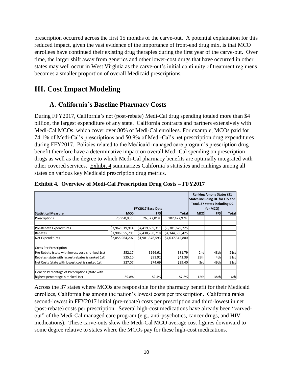prescription occurred across the first 15 months of the carve-out. A potential explanation for this reduced impact, given the vast evidence of the importance of front-end drug mix, is that MCO enrollees have continued their existing drug therapies during the first year of the carve-out. Over time, the larger shift away from generics and other lower-cost drugs that have occurred in other states may well occur in West Virginia as the carve-out's initial continuity of treatment regimens becomes a smaller proportion of overall Medicaid prescriptions.

# **III. Cost Impact Modeling**

### **A. California's Baseline Pharmacy Costs**

During FFY2017, California's net (post-rebate) Medi-Cal drug spending totaled more than \$4 billion, the largest expenditure of any state. California contracts and partners extensively with Medi-Cal MCOs, which cover over 80% of Medi-Cal enrollees. For example, MCOs paid for 74.1% of Medi-Cal's prescriptions and 50.9% of Medi-Cal's net prescription drug expenditures during FFY2017. Policies related to the Medicaid managed care program's prescription drug benefit therefore have a determinative impact on overall Medi-Cal spending on prescription drugs as well as the degree to which Medi-Cal pharmacy benefits are optimally integrated with other covered services. Exhibit 4 summarizes California's statistics and rankings among all states on various key Medicaid prescription drug metrics.

|                                                    | <b>Ranking Among States (51)</b><br><b>States including DC for FFS and</b><br>Total, 37 states including DC<br>FFY2017 Base Data |                 |                 | for MCO)        |            |              |
|----------------------------------------------------|----------------------------------------------------------------------------------------------------------------------------------|-----------------|-----------------|-----------------|------------|--------------|
| <b>Statistical Measure</b>                         | <b>MCO</b>                                                                                                                       | <b>FFS</b>      | <b>Total</b>    | <b>MCO</b>      | <b>FFS</b> | <b>Total</b> |
| Prescriptions                                      | 75,950,956                                                                                                                       | 26,527,018      | 102,477,974     |                 |            |              |
|                                                    |                                                                                                                                  |                 |                 |                 |            |              |
| Pre-Rebate Expenditures                            | \$3,962,019,914                                                                                                                  | \$4,419,659,311 | \$8,381,679,225 |                 |            |              |
| Rebates                                            | \$1,906,055,706                                                                                                                  | \$2,438,280,718 | \$4,344,336,425 |                 |            |              |
| <b>Net Expenditures</b>                            | \$2,055,964,207                                                                                                                  | \$1,981,378,593 | \$4,037,342,800 |                 |            |              |
| <b>Costs Per Prescription</b>                      |                                                                                                                                  |                 |                 |                 |            |              |
| Pre-Rebate (state with lowest cost is ranked 1st)  | \$52.17                                                                                                                          | \$166.61        | \$81.79         | 2 <sub>nd</sub> | 48th       | 21st         |
| Rebates (state with largest rebates is ranked 1st) | \$25.10                                                                                                                          | \$91.92         | \$42.39         | 35th            | 4th        | 31st         |
| Net Costs (state with lowest cost is ranked 1st)   | \$27.07                                                                                                                          | \$74.69         | \$39.40         | 3rd             | 49th       | 31st         |
|                                                    |                                                                                                                                  |                 |                 |                 |            |              |
| Generic Percentage of Prescriptions (state with    |                                                                                                                                  |                 |                 |                 |            |              |
| highest percentage is ranked 1st)                  | 89.8%                                                                                                                            | 82.4%           | 87.8%           | 12th            | 38th       | 16th         |

### **Exhibit 4. Overview of Medi-Cal Prescription Drug Costs – FFY2017**

Across the 37 states where MCOs are responsible for the pharmacy benefit for their Medicaid enrollees, California has among the nation's lowest costs per prescription. California ranks second-lowest in FFY2017 initial (pre-rebate) costs per prescription and third-lowest in net (post-rebate) costs per prescription. Several high-cost medications have already been "carvedout" of the Medi-Cal managed care program (e.g., anti-psychotics, cancer drugs, and HIV medications). These carve-outs skew the Medi-Cal MCO average cost figures downward to some degree relative to states where the MCOs pay for these high-cost medications.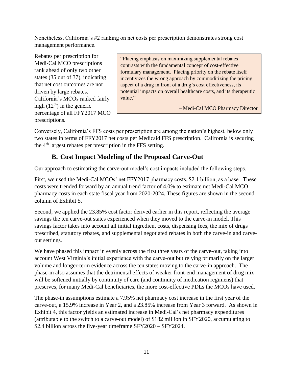Nonetheless, California's #2 ranking on net costs per prescription demonstrates strong cost management performance.

Rebates per prescription for Medi-Cal MCO prescriptions rank ahead of only two other states (35 out of 37), indicating that net cost outcomes are not driven by large rebates. California's MCOs ranked fairly high  $(12<sup>th</sup>)$  in the generic percentage of all FFY2017 MCO prescriptions.

"Placing emphasis on maximizing supplemental rebates contrasts with the fundamental concept of cost-effective formulary management. Placing priority on the rebate itself incentivizes the wrong approach by commoditizing the pricing aspect of a drug in front of a drug's cost effectiveness, its potential impacts on overall healthcare costs, and its therapeutic value."

– Medi-Cal MCO Pharmacy Director

Conversely, California's FFS costs per prescription are among the nation's highest, below only two states in terms of FFY2017 net costs per Medicaid FFS prescription. California is securing the  $4<sup>th</sup>$  largest rebates per prescription in the FFS setting.

## **B. Cost Impact Modeling of the Proposed Carve-Out**

Our approach to estimating the carve-out model's cost impacts included the following steps.

First, we used the Medi-Cal MCOs' net FFY2017 pharmacy costs, \$2.1 billion, as a base. These costs were trended forward by an annual trend factor of 4.0% to estimate net Medi-Cal MCO pharmacy costs in each state fiscal year from 2020-2024. These figures are shown in the second column of Exhibit 5.

Second, we applied the 23.85% cost factor derived earlier in this report, reflecting the average savings the ten carve-out states experienced when they moved to the carve-in model. This savings factor takes into account all initial ingredient costs, dispensing fees, the mix of drugs prescribed, statutory rebates, and supplemental negotiated rebates in both the carve-in and carveout settings.

We have phased this impact in evenly across the first three years of the carve-out, taking into account West Virginia's initial experience with the carve-out but relying primarily on the larger volume and longer-term evidence across the ten states moving to the carve-in approach. The phase-in also assumes that the detrimental effects of weaker front-end management of drug mix will be softened initially by continuity of care (and continuity of medication regimens) that preserves, for many Medi-Cal beneficiaries, the more cost-effective PDLs the MCOs have used.

The phase-in assumptions estimate a 7.95% net pharmacy cost increase in the first year of the carve-out, a 15.9% increase in Year 2, and a 23.85% increase from Year 3 forward. As shown in Exhibit 4, this factor yields an estimated increase in Medi-Cal's net pharmacy expenditures (attributable to the switch to a carve-out model) of \$182 million in SFY2020, accumulating to \$2.4 billion across the five-year timeframe SFY2020 – SFY2024.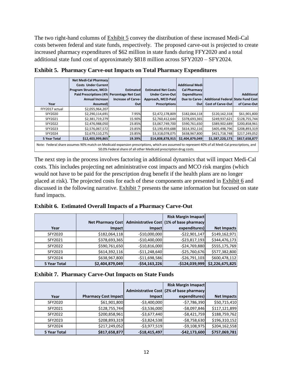The two right-hand columns of **Exhibit 5** convey the distribution of these increased Medi-Cal costs between federal and state funds, respectively. The proposed carve-out is projected to create increased pharmacy expenditures of \$62 million in state funds during FFY2020 and a total additional state fund cost of approximately \$818 million across SFY2020 – SFY2024.

| Year           | <b>Net Medi-Cal Pharmacy</b><br><b>Costs Under Current</b><br><b>Program Structure, MCO-</b><br>Paid Prescriptions (4% Percentage Net Cost<br><b>Annual Increase</b><br>Assumed) | <b>Estimated</b><br><b>Increase of Carve-</b><br>Out | <b>Estimated Net Costs</b><br><b>Under Carve-Outl</b><br>Approach, MCO-Paid<br><b>Prescriptions</b> | <b>Additional Medil</b><br><b>Cal Pharmacy</b><br><b>Expenditures</b><br>Due to Carve-<br>Out | <b>Additional Federall State Fund Cost</b><br><b>Cost of Carve-Out</b> | <b>Additional</b><br>of Carve-Out |  |
|----------------|----------------------------------------------------------------------------------------------------------------------------------------------------------------------------------|------------------------------------------------------|-----------------------------------------------------------------------------------------------------|-----------------------------------------------------------------------------------------------|------------------------------------------------------------------------|-----------------------------------|--|
| FFY2017 actual | \$2,055,964,207                                                                                                                                                                  |                                                      |                                                                                                     |                                                                                               |                                                                        |                                   |  |
| SFY2020        | \$2,290,114,691                                                                                                                                                                  | 7.95%                                                | \$2,472,178,809                                                                                     | \$182,064,118                                                                                 | \$120,162,318                                                          | \$61,901,800                      |  |
| SFY2021        | \$2,381,719,279                                                                                                                                                                  | 15.90%                                               | \$2,760,412,644                                                                                     | \$378,693,365                                                                                 | \$249,937,621                                                          | \$128,755,744                     |  |
| SFY2022        | \$2,476,988,050                                                                                                                                                                  | 23.85%                                               | \$3,067,749,700                                                                                     | \$590,761,650                                                                                 | \$389,902,689                                                          | \$200,858,961                     |  |
| SFY2023        | \$2,576,067,572                                                                                                                                                                  | 23.85%                                               | \$3,190,459,688                                                                                     | \$614,392,116                                                                                 | \$405,498,796                                                          | \$208,893,319                     |  |
| SFY2024        | \$2,679,110,275                                                                                                                                                                  | 23.85%                                               | \$3,318,078,075                                                                                     | \$638,967,800                                                                                 | \$421,718,748                                                          | \$217,249,052                     |  |
| 5 Year Total   | \$12,403,999,865                                                                                                                                                                 | 19.39%                                               | \$14,808,878,915                                                                                    | \$2,404,879,049                                                                               | \$1,587,220,173                                                        | \$817,658,877                     |  |
|                | Nete: Eaderal share assumes 00% match on Medicaid expansion prescriptions, which are assumed to represent 40% of all Medi Cal prescriptions, and                                 |                                                      |                                                                                                     |                                                                                               |                                                                        |                                   |  |

**Exhibit 5. Pharmacy Carve-out Impacts on Total Pharmacy Expenditures** 

Note: Federal share assumes 90% match on Medicaid expansion prescriptions, which are assumed to represent 40% of all Medi-Cal prescriptions, and 50.0% Federal share of all other Medicaid prescription drug costs.

The next step in the process involves factoring in additional dynamics that will impact Medi-Cal costs. This includes projecting net administrative cost impacts and MCO risk margins (which would not have to be paid for the prescription drug benefit if the health plans are no longer placed at risk). The projected costs for each of these components are presented in Exhibit 6 and discussed in the following narrative. Exhibit 7 presents the same information but focused on state fund impacts.

**Exhibit 6. Estimated Overall Impacts of a Pharmacy Carve-Out** 

|                     |                 |                  | <b>Risk Margin Imapact</b>                                  |                 |
|---------------------|-----------------|------------------|-------------------------------------------------------------|-----------------|
|                     |                 |                  | Net Pharmacy Cost Administrative Cost (1% of base pharmacy) |                 |
| Year                | Impact          | <b>Impact</b>    | expenditures)                                               | Net Impacts     |
| SFY2020             | \$182,064,118   | $-$10,000,000$   | $-522,901,147$                                              | \$149,162,971   |
| SFY2021             | \$378,693,365   | $-$10,400,000$   | $-$ \$23,817,193                                            | \$344,476,173   |
| SFY2022             | \$590,761,650   | $-$10,816,000$   | $-524,769,880$                                              | \$555,175,769   |
| SFY2023             | \$614,392,116   | $-511,248,640$   | $-$25,760,676$                                              | \$577,382,800   |
| SFY2024             | \$638,967,800   | $-511,698,586$   | $-526,791,103$                                              | \$600,478,112   |
| <b>5 Year Total</b> | \$2,404,879,049 | $-554, 163, 226$ | $-$124,039,999$                                             | \$2,226,675,825 |

| <b>Exhibit 7. Pharmacy Carve-Out Impacts on State Funds</b> |
|-------------------------------------------------------------|
|-------------------------------------------------------------|

|                     |                             |                | <b>Risk Margin Imapact</b>                |                    |
|---------------------|-----------------------------|----------------|-------------------------------------------|--------------------|
|                     |                             |                | Administrative Cost (2% of base pharmacy) |                    |
| Year                | <b>Pharmacy Cost Impact</b> | <b>Impact</b>  | expenditures)                             | <b>Net Impacts</b> |
| SFY2020             | \$61,901,800                | $-53,400,000$  | $-57,786,390$                             | \$50,715,410       |
| SFY2021             | \$128,755,744               | $-53,536,000$  | $-$ \$8,097,846                           | \$117,121,899      |
| SFY2022             | \$200,858,961               | $-53,677,440$  | $-58,421,759$                             | \$188,759,762      |
| SFY2023             | \$208,893,319               | $-53,824,538$  | $-58,758,630$                             | \$196,310,152      |
| SFY2024             | \$217,249,052               | $-53,977,519$  | $-59,108,975$                             | \$204,162,558      |
| <b>5 Year Total</b> | \$817,658,877               | $-$18,415,497$ | $-542, 173, 600$                          | \$757,069,781      |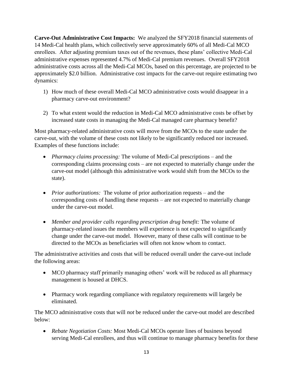**Carve-Out Administrative Cost Impacts:** We analyzed the SFY2018 financial statements of 14 Medi-Cal health plans, which collectively serve approximately 60% of all Medi-Cal MCO enrollees. After adjusting premium taxes out of the revenues, these plans' collective Medi-Cal administrative expenses represented 4.7% of Medi-Cal premium revenues. Overall SFY2018 administrative costs across all the Medi-Cal MCOs, based on this percentage, are projected to be approximately \$2.0 billion. Administrative cost impacts for the carve-out require estimating two dynamics:

- 1) How much of these overall Medi-Cal MCO administrative costs would disappear in a pharmacy carve-out environment?
- 2) To what extent would the reduction in Medi-Cal MCO administrative costs be offset by increased state costs in managing the Medi-Cal managed care pharmacy benefit?

Most pharmacy-related administrative costs will move from the MCOs to the state under the carve-out, with the volume of these costs not likely to be significantly reduced nor increased. Examples of these functions include:

- *Pharmacy claims processing:* The volume of Medi-Cal prescriptions and the corresponding claims processing costs – are not expected to materially change under the carve-out model (although this administrative work would shift from the MCOs to the state).
- *Prior authorizations:* The volume of prior authorization requests and the corresponding costs of handling these requests – are not expected to materially change under the carve-out model.
- *Member and provider calls regarding prescription drug benefit:* The volume of pharmacy-related issues the members will experience is not expected to significantly change under the carve-out model. However, many of these calls will continue to be directed to the MCOs as beneficiaries will often not know whom to contact.

The administrative activities and costs that will be reduced overall under the carve-out include the following areas:

- MCO pharmacy staff primarily managing others' work will be reduced as all pharmacy management is housed at DHCS.
- Pharmacy work regarding compliance with regulatory requirements will largely be eliminated.

The MCO administrative costs that will *not* be reduced under the carve-out model are described below:

• *Rebate Negotiation Costs:* Most Medi-Cal MCOs operate lines of business beyond serving Medi-Cal enrollees, and thus will continue to manage pharmacy benefits for these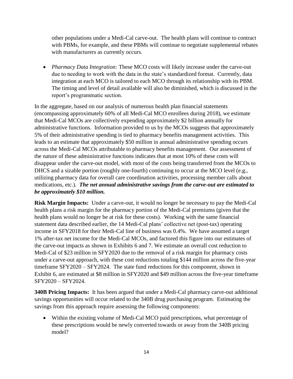other populations under a Medi-Cal carve-out. The health plans will continue to contract with PBMs, for example, and these PBMs will continue to negotiate supplemental rebates with manufacturers as currently occurs.

• *Pharmacy Data Integration:* These MCO costs will likely increase under the carve-out due to needing to work with the data in the state's standardized format. Currently, data integration at each MCO is tailored to each MCO through its relationship with its PBM. The timing and level of detail available will also be diminished, which is discussed in the report's programmatic section.

In the aggregate, based on our analysis of numerous health plan financial statements (encompassing approximately 60% of all Medi-Cal MCO enrollees during 2018), we estimate that Medi-Cal MCOs are collectively expending approximately \$2 billion annually for administrative functions. Information provided to us by the MCOs suggests that approximately 5% of their administrative spending is tied to pharmacy benefits management activities. This leads to an estimate that approximately \$50 million in annual administrative spending occurs across the Medi-Cal MCOs attributable to pharmacy benefits management. Our assessment of the nature of these administrative functions indicates that at most 10% of these costs will disappear under the carve-out model, with most of the costs being transferred from the MCOs to DHCS and a sizable portion (roughly one-fourth) continuing to occur at the MCO level (e.g., utilizing pharmacy data for overall care coordination activities, processing member calls about medications, etc.). *The net annual administrative savings from the carve-out are estimated to be approximately \$10 million.*

**Risk Margin Impacts:** Under a carve-out, it would no longer be necessary to pay the Medi-Cal health plans a risk margin for the pharmacy portion of the Medi-Cal premiums (given that the health plans would no longer be at risk for these costs). Working with the same financial statement data described earlier, the 14 Medi-Cal plans' collective net (post-tax) operating income in SFY2018 for their Medi-Cal line of business was 0.4%. We have assumed a target 1% after-tax net income for the Medi-Cal MCOs, and factored this figure into our estimates of the carve-out impacts as shown in Exhibits 6 and 7. We estimate an overall cost reduction to Medi-Cal of \$23 million in SFY2020 due to the removal of a risk margin for pharmacy costs under a carve-out approach, with these cost reductions totaling \$144 million across the five-year timeframe SFY2020 – SFY2024. The state fund reductions for this component, shown in Exhibit 6, are estimated at \$8 million in SFY2020 and \$49 million across the five-year timeframe SFY2020 – SFY2024.

**340B Pricing Impacts:** It has been argued that under a Medi-Cal pharmacy carve-out additional savings opportunities will occur related to the 340B drug purchasing program. Estimating the savings from this approach require assessing the following components:

• Within the existing volume of Medi-Cal MCO paid prescriptions, what percentage of these prescriptions would be newly converted towards or away from the 340B pricing model?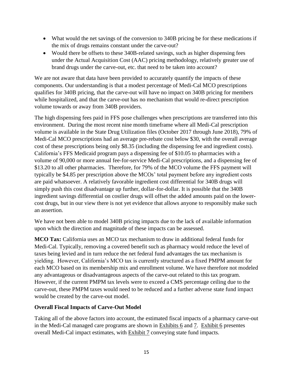- What would the net savings of the conversion to 340B pricing be for these medications if the mix of drugs remains constant under the carve-out?
- Would there be offsets to these 340B-related savings, such as higher dispensing fees under the Actual Acquisition Cost (AAC) pricing methodology, relatively greater use of brand drugs under the carve-out, etc. that need to be taken into account?

We are not aware that data have been provided to accurately quantify the impacts of these components. Our understanding is that a modest percentage of Medi-Cal MCO prescriptions qualifies for 340B pricing, that the carve-out will have no impact on 340B pricing for members while hospitalized, and that the carve-out has no mechanism that would re-direct prescription volume towards or away from 340B providers.

The high dispensing fees paid in FFS pose challenges when prescriptions are transferred into this environment. During the most recent nine month timeframe where all Medi-Cal prescription volume is available in the State Drug Utilization files (October 2017 through June 2018), 79% of Medi-Cal MCO prescriptions had an average pre-rebate cost below \$30, with the overall average cost of these prescriptions being only \$8.35 (including the dispensing fee and ingredient costs). California's FFS Medicaid program pays a dispensing fee of \$10.05 to pharmacies with a volume of 90,000 or more annual fee-for-service Medi-Cal prescriptions, and a dispensing fee of \$13.20 to all other pharmacies. Therefore, for 79% of the MCO volume the FFS payment will typically be \$4.85 per prescription above the MCOs' total payment before any ingredient costs are paid whatsoever. A relatively favorable ingredient cost differential for 340B drugs will simply push this cost disadvantage up further, dollar-for-dollar. It is possible that the 340B ingredient savings differential on costlier drugs will offset the added amounts paid on the lowercost drugs, but in our view there is not yet evidence that allows anyone to responsibly make such an assertion.

We have not been able to model 340B pricing impacts due to the lack of available information upon which the direction and magnitude of these impacts can be assessed.

**MCO Tax:** California uses an MCO tax mechanism to draw in additional federal funds for Medi-Cal. Typically, removing a covered benefit such as pharmacy would reduce the level of taxes being levied and in turn reduce the net federal fund advantages the tax mechanism is yielding. However, California's MCO tax is currently structured as a fixed PMPM amount for each MCO based on its membership mix and enrollment volume. We have therefore not modeled any advantageous or disadvantageous aspects of the carve-out related to this tax program. However, if the current PMPM tax levels were to exceed a CMS percentage ceiling due to the carve-out, these PMPM taxes would need to be reduced and a further adverse state fund impact would be created by the carve-out model.

### **Overall Fiscal Impacts of Carve-Out Model**

Taking all of the above factors into account, the estimated fiscal impacts of a pharmacy carve-out in the Medi-Cal managed care programs are shown in Exhibits 6 and 7. Exhibit 6 presentes overall Medi-Cal impact estimates, with Exhibit 7 conveying state fund impacts.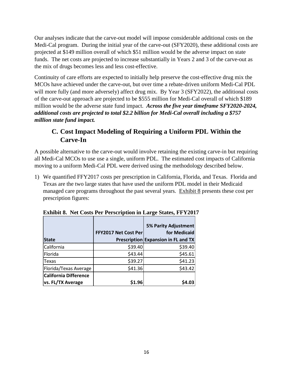Our analyses indicate that the carve-out model will impose considerable additional costs on the Medi-Cal program. During the initial year of the carve-out (SFY2020), these additional costs are projected at \$149 million overall of which \$51 million would be the adverse impact on state funds. The net costs are projected to increase substantially in Years 2 and 3 of the carve-out as the mix of drugs becomes less and less cost-effective.

Continuity of care efforts are expected to initially help preserve the cost-effective drug mix the MCOs have achieved under the carve-out, but over time a rebate-driven uniform Medi-Cal PDL will more fully (and more adversely) affect drug mix. By Year 3 (SFY2022), the additional costs of the carve-out approach are projected to be \$555 million for Medi-Cal overall of which \$189 million would be the adverse state fund impact. *Across the five year timeframe SFY2020-2024, additional costs are projected to total \$2.2 billion for Medi-Cal overall including a \$757 million state fund impact.* 

### **C. Cost Impact Modeling of Requiring a Uniform PDL Within the Carve-In**

A possible alternative to the carve-out would involve retaining the existing carve-in but requiring all Medi-Cal MCOs to use use a single, uniform PDL. The estimated cost impacts of California moving to a uniform Medi-Cal PDL were derived using the methodology described below.

1) We quantified FFY2017 costs per prescription in California, Florida, and Texas. Florida and Texas are the two large states that have used the uniform PDL model in their Medicaid managed care programs throughout the past several years. Exhibit 8 presents these cost per prescription figures:

|                              | <b>FFY2017 Net Cost Perl</b> | <b>5% Parity Adjustment</b><br>for Medicaid |
|------------------------------|------------------------------|---------------------------------------------|
| <b>State</b>                 |                              | Prescription Expansion in FL and TX         |
| California                   | \$39.40                      | \$39.40                                     |
| Florida                      | \$43.44                      | \$45.61                                     |
| Texas                        | \$39.27                      | \$41.23                                     |
| Florida/Texas Average        | \$41.36                      | \$43.42                                     |
| <b>California Difference</b> |                              |                                             |
| vs. FL/TX Average            | \$1.96                       |                                             |

**Exhibit 8. Net Costs Per Perscription in Large States, FFY2017**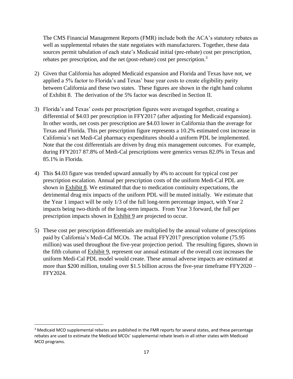The CMS Financial Management Reports (FMR) include both the ACA's statutory rebates as well as supplemental rebates the state negotiates with manufacturers. Together, these data sources permit tabulation of each state's Medicaid initial (pre-rebate) cost per prescription, rebates per prescription, and the net (post-rebate) cost per prescription.<sup>3</sup>

- 2) Given that California has adopted Medicaid expansion and Florida and Texas have not, we applied a 5% factor to Florida's and Texas' base year costs to create eligibility parity between California and these two states. These figures are shown in the right hand column of Exhibit 8. The derivation of the 5% factor was described in Section II.
- 3) Florida's and Texas' costs per prescription figures were averaged together, creating a differential of \$4.03 per prescription in FFY2017 (after adjusting for Medicaid expansion). In other words, net costs per prescription are \$4.03 lower in California than the average for Texas and Florida. This per prescription figure represents a 10.2% estimated cost increase in California's net Medi-Cal pharmacy expenditures should a uniform PDL be implemented. Note that the cost differentials are driven by drug mix management outcomes. For example, during FFY2017 87.8% of Medi-Cal prescriptions were generics versus 82.0% in Texas and 85.1% in Florida.
- 4) This \$4.03 figure was trended upward annually by 4% to account for typical cost per prescription escalation. Annual per prescription costs of the uniform Medi-Cal PDL are shown in Exhibit 8. We estimated that due to medication continuity expectations, the detrimental drug mix impacts of the uniform PDL will be muted initially. We estimate that the Year 1 impact will be only 1/3 of the full long-term percentage impact, with Year 2 impacts being two-thirds of the long-term impacts. From Year 3 forward, the full per prescription impacts shown in Exhibit 9 are projected to occur.
- 5) These cost per prescription differentials are multiplied by the annual volume of prescriptions paid by California's Medi-Cal MCOs. The actual FFY2017 prescription volume (75.95 million) was used throughout the five-year projection period. The resulting figures, shown in the fifth column of Exhibit 9, represent our annual estimate of the overall cost increases the uniform Medi-Cal PDL model would create. These annual adverse impacts are estimated at more than \$200 million, totaling over \$1.5 billion across the five-year timeframe FFY2020 – FFY2024.

 $\overline{a}$ 

<sup>&</sup>lt;sup>3</sup> Medicaid MCO supplemental rebates are published in the FMR reports for several states, and these percentage rebates are used to estimate the Medicaid MCOs' supplemental rebate levels in all other states with Medicaid MCO programs.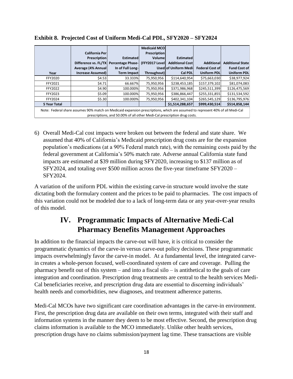|                     |                                                                                                                               |                    | <b>Medicaid MCO</b> |                              |                        |                          |
|---------------------|-------------------------------------------------------------------------------------------------------------------------------|--------------------|---------------------|------------------------------|------------------------|--------------------------|
|                     | California Per                                                                                                                |                    | Prescription        |                              |                        |                          |
|                     | Prescription                                                                                                                  | <b>Estimated</b>   | Volume              | <b>Estimated</b>             |                        |                          |
|                     | Difference vs. FL/TX Percentage Phase-                                                                                        |                    | (FFY2017 Level      | <b>Additional Cost</b>       | <b>Additional</b>      | <b>Additional Statel</b> |
|                     | Average (4% Annual                                                                                                            | In of Full Long-   |                     | <b>Used of Uniform Medi-</b> | <b>Federal Cost of</b> | <b>Fund Cost of</b>      |
| Year                | <b>Increase Assumed)</b>                                                                                                      | <b>Term Impact</b> | Throughout)         | <b>Cal PDL</b>               | <b>Uniform PDL</b>     | <b>Uniform PDL</b>       |
| FFY2020             | \$4.53                                                                                                                        | 33.333%            | 75,950,956          | \$114,640,954                | \$75,663,030           | \$38,977,924             |
| FFY2021             | \$4.71                                                                                                                        | 66.667%            | 75,950,956          | \$238,453,185                | \$157,379,102          | \$81,074,083             |
| FFY2022             | \$4.90                                                                                                                        | 100.000%           | 75,950,956          | \$371,986,968                | \$245,511,399          | \$126,475,569            |
| FFY2023             | \$5.09                                                                                                                        | 100.000%           | 75,950,956          | \$386,866,447                | \$255,331,855          | \$131,534,592            |
| FFY2024             | \$5.30                                                                                                                        | 100.000%           | 75,950,956          | \$402.341.104                | \$265,545,129          | \$136,795,976            |
| <b>5 Year Total</b> |                                                                                                                               |                    |                     | \$1,514,288,657              | \$999,430,514          | \$514,858,144            |
|                     | Note: Eederal share assumes 90% match on Medicaid expansion prescriptions, which are assumed to represent 40% of all Medi-Cal |                    |                     |                              |                        |                          |

**Exhibit 8. Projected Cost of Uniform Medi-Cal PDL, SFY2020 – SFY2024**

Note: Federal share assumes 90% match on Medicaid expansion prescriptions, which are assumed to represent 40% of all Medi-Cal prescriptions, and 50.00% of all other Medi-Cal prescription drug costs.

6) Overall Medi-Cal cost impacts were broken out between the federal and state share. We assumed that 40% of California's Medicaid prescription drug costs are for the expansion population's medications (at a 90% Federal match rate), with the remaining costs paid by the federal government at California's 50% match rate. Adverse annual California state fund impacts are estimated at \$39 million during SFY2020, increasing to \$137 million as of SFY2024, and totaling over \$500 million across the five-year timeframe SFY2020 – SFY2024.

A variation of the uniform PDL within the existing carve-in structure would involve the state dictating both the formulary content and the prices to be paid to pharmacies. The cost impacts of this variation could not be modeled due to a lack of long-term data or any year-over-year results of this model.

# **IV. Programmatic Impacts of Alternative Medi-Cal Pharmacy Benefits Management Approaches**

In addition to the financial impacts the carve-out will have, it is critical to consider the programmatic dynamics of the carve-in versus carve-out policy decisions. These programmatic impacts overwhelmingly favor the carve-in model. At a fundamental level, the integrated carvein creates a whole-person focused, well-coordinated system of care and coverage. Pulling the pharmacy benefit out of this system – and into a fiscal silo – is antithetical to the goals of care integration and coordination. Prescription drug treatments are central to the health services Medi-Cal beneficiaries receive, and prescription drug data are essential to discerning individuals' health needs and comorbidities, new diagnoses, and treatment adherence patterns.

Medi-Cal MCOs have two significant care coordination advantages in the carve-in environment. First, the prescription drug data are available on their own terms, integrated with their staff and information systems in the manner they deem to be most effective. Second, the prescription drug claims information is available to the MCO immediately. Unlike other health services, prescription drugs have no claims submission/payment lag time. These transactions are visible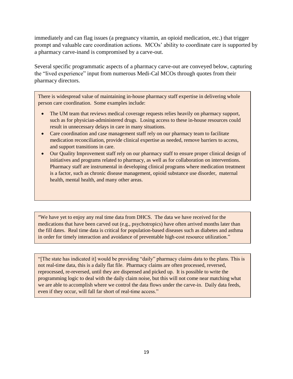immediately and can flag issues (a pregnancy vitamin, an opioid medication, etc.) that trigger prompt and valuable care coordination actions. MCOs' ability to coordinate care is supported by a pharmacy carve-inand is compromised by a carve-out.

Several specific programmatic aspects of a pharmacy carve-out are conveyed below, capturing the "lived experience" input from numerous Medi-Cal MCOs through quotes from their pharmacy directors.

There is widespread value of maintaining in-house pharmacy staff expertise in delivering whole person care coordination. Some examples include:

- The UM team that reviews medical coverage requests relies heavily on pharmacy support, such as for physician-administered drugs. Losing access to these in-house resources could result in unnecessary delays in care in many situations.
- Care coordination and case management staff rely on our pharmacy team to facilitate medication reconciliation, provide clinical expertise as needed, remove barriers to access, and support transitions in care.
- Our Quality Improvement staff rely on our pharmacy staff to ensure proper clinical design of initiatives and programs related to pharmacy, as well as for collaboration on interventions. Pharmacy staff are instrumental in developing clinical programs where medication treatment is a factor, such as chronic disease management, opioid substance use disorder, maternal health, mental health, and many other areas.

"We have yet to enjoy any real time data from DHCS. The data we have received for the medications that have been carved out (e.g., psychotropics) have often arrived months later than the fill dates. Real time data is critical for population-based diseases such as diabetes and asthma in order for timely interaction and avoidance of preventable high-cost resource utilization."

"[The state has indicated it] would be providing "daily" pharmacy claims data to the plans. This is not real-time data, this is a daily flat file. Pharmacy claims are often processed, reversed, reprocessed, re-reversed, until they are dispensed and picked up. It is possible to write the programming logic to deal with the daily claim noise, but this will not come near matching what we are able to accomplish where we control the data flows under the carve-in. Daily data feeds, even if they occur, will fall far short of real-time access."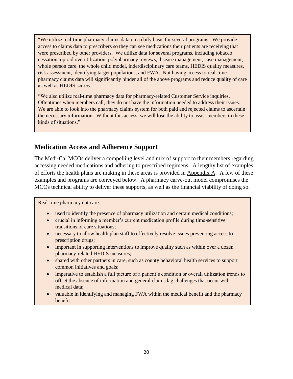"We utilize real-time pharmacy claims data on a daily basis for several programs. We provide access to claims data to prescribers so they can see medications their patients are receiving that were prescribed by other providers. We utilize data for several programs, including tobacco cessation, opioid overutilization, polypharmacy reviews, disease management, case management, whole person care, the whole child model, inderdisciplinary care teams, HEDIS quality measures, risk assessment, identifying target populations, and FWA. Not having access to real-time pharmacy claims data will significantly hinder all of the above programs and reduce quality of care as well as HEDIS scores."

"We also utilize real-time pharmacy data for pharmacy-related Customer Service inquiries. Oftentimes when members call, they do not have the information needed to address their issues. We are able to look into the pharmacy claims system for both paid and rejected claims to ascertain the necessary information. Without this access, we will lose the ability to assist members in these kinds of situations."

### **Medication Access and Adherence Support**

The Medi-Cal MCOs deliver a compelling level and mix of support to their members regarding accessing needed medications and adhering to prescribed regimens. A lengthy list of examples of efforts the health plans are making in these areas is provided in Appendix A. A few of these examples and programs are conveyed below. A pharmacy carve-out model compromises the MCOs technical ability to deliver these supports, as well as the financial viability of doing so.

Real-time pharmacy data are:

- used to identify the presence of pharmacy utilization and certain medical conditions;
- crucial in informing a member's current medication profile during time-sensitive transitions of care situations;
- necessary to allow health plan staff to effectively resolve issues preventing access to prescription drugs;
- important in supporting interventions to improve quality such as within over a dozen pharmacy-related HEDIS measures;
- shared with other partners in care, such as county behavioral health services to support common initiatives and goals;
- imperative to establish a full picture of a patient's condition or overall utilization trends to offset the absence of information and general claims lag challenges that occur with medical data;
- valuable in identifying and managing FWA within the medical benefit and the pharmacy benefit.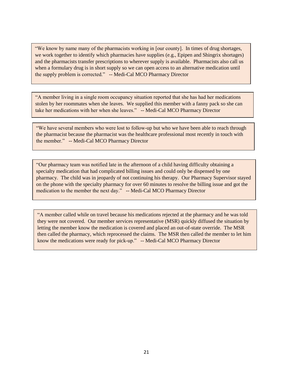"We know by name many of the pharmacists working in [our county]. In times of drug shortages, we work together to identify which pharmacies have supplies (e.g., Epipen and Shingrix shortages) and the pharmacists transfer prescriptions to wherever supply is available. Pharmacists also call us when a formulary drug is in short supply so we can open access to an alternative medication until the supply problem is corrected." -- Medi-Cal MCO Pharmacy Director

"A member living in a single room occupancy situation reported that she has had her medications stolen by her roommates when she leaves. We supplied this member with a fanny pack so she can take her medications with her when she leaves." -- Medi-Cal MCO Pharmacy Director

"We have several members who were lost to follow-up but who we have been able to reach through the pharmacist because the pharmacist was the healthcare professional most recently in touch with the member." -- Medi-Cal MCO Pharmacy Director

"Our pharmacy team was notified late in the afternoon of a child having difficulty obtaining a specialty medication that had complicated billing issues and could only be dispensed by one pharmacy. The child was in jeopardy of not continuing his therapy. Our Pharmacy Supervisor stayed on the phone with the specialty pharmacy for over 60 minutes to resolve the billing issue and got the medication to the member the next day." -- Medi-Cal MCO Pharmacy Director

"A member called while on travel because his medications rejected at the pharmacy and he was told they were not covered. Our member services representative (MSR) quickly diffused the situation by letting the member know the medication is covered and placed an out-of-state override. The MSR then called the pharmacy, which reprocessed the claims. The MSR then called the member to let him know the medications were ready for pick-up." -- Medi-Cal MCO Pharmacy Director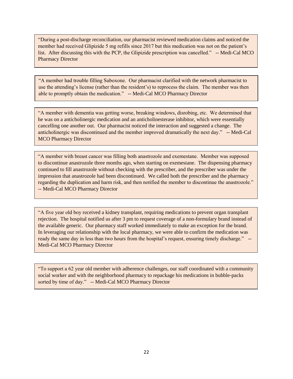"During a post-discharge reconciliation, our pharmacist reviewed medication claims and noticed the member had received Glipizide 5 mg refills since 2017 but this medication was not on the patient's list. After discussing this with the PCP, the Glipizide prescription was cancelled." -- Medi-Cal MCO Pharmacy Director

"A member had trouble filling Suboxone. Our pharmacist clarified with the network pharmacist to use the attending's license (rather than the resident's) to reprocess the claim. The member was then able to promptly obtain the medication." -- Medi-Cal MCO Pharmacy Director

"A member with dementia was getting worse, breaking windows, disrobing, etc. We determined that he was on a anticholinergic medication and an anticholinesterase inhibitor, which were essentially cancelling one another out. Our pharmacist noticed the interaction and suggested a change. The anticholinergic was discontinued and the member improved dramatically the next day." -- Medi-Cal MCO Pharmacy Director

"A member with breast cancer was filling both anastrozole and exemestane. Member was supposed to discontinue anastrozole three months ago, when starting on exemestane. The dispensing pharmacy continued to fill anastrozole without checking with the prescriber, and the prescriber was under the impression that anastrozole had been discontinued. We called both the prescriber and the pharmacy regarding the duplication and harm risk, and then notified the member to discontinue the anastrozole." -- Medi-Cal MCO Pharmacy Director

"A five year old boy received a kidney transplant, requiring medications to prevent organ transplant rejection. The hospital notified us after 3 pm to request coverage of a non-formulary brand instead of the available generic. Our pharmacy staff worked immediately to make an exception for the brand. In leveraging our relationship with the local pharmacy, we were able to confirm the medication was ready the same day in less than two hours from the hospital's request, ensuring timely discharge." Medi-Cal MCO Pharmacy Director

"To support a 62 year old member with adherence challenges, our staff coordinated with a community social worker and with the neighborhood pharmacy to repackage his medications in bubble-packs sorted by time of day." -- Medi-Cal MCO Pharmacy Director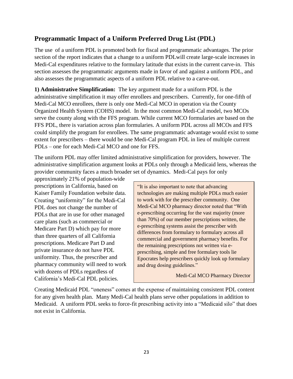### **Programmatic Impact of a Uniform Preferred Drug List (PDL)**

The use of a uniform PDL is promoted both for fiscal and programmatic advantages. The prior section of the report indicates that a change to a uniform PDLwill create large-scale increases in Medi-Cal expenditures relative to the formulary latitude that exists in the current carve-in. This section assesses the programmatic arguments made in favor of and against a uniform PDL, and also assesses the programmatic aspects of a uniform PDL relative to a carve-out.

**1) Administrative Simplification:** The key argument made for a uniform PDL is the administrative simplification it may offer enrollees and prescribers. Currently, for one-fifth of Medi-Cal MCO enrollees, there is only one Medi-Cal MCO in operation via the County Organized Health System (COHS) model. In the most common Medi-Cal model, two MCOs serve the county along with the FFS program. While current MCO formularies are based on the FFS PDL, there is variation across plan formularies. A uniform PDL across all MCOs and FFS could simplify the program for enrollees. The same programmatic advantage would exist to some extent for prescribers – there would be one Medi-Cal program PDL in lieu of multiple current PDLs – one for each Medi-Cal MCO and one for FFS.

The uniform PDL may offer limited administrative simplification for providers, however. The administrative simplification argument looks at PDLs only through a Medicaid lens, whereas the provider community faces a much broader set of dynamics. Medi-Cal pays for only

approximately 21% of population-wide prescriptions in California, based on Kaiser Family Foundation website data. Creating "uniformity" for the Medi-Cal PDL does not change the number of PDLs that are in use for other managed care plans (such as commercial or Medicare Part D) which pay for more than three quarters of all California prescriptions. Medicare Part D and private insurance do not have PDL uniformity. Thus, the prescriber and pharmacy community will need to work with dozens of PDLs regardless of California's Medi-Cal PDL policies.

"It is also important to note that advancing technologies are making multiple PDLs much easier to work with for the prescriber community. One Medi-Cal MCO pharmacy director noted that "With e-prescribing occurring for the vast majority (more than 70%) of our member prescriptions written, the e-prescribing systems assist the prescriber with differences from formulary to formulary across all commercial and government pharmacy benefits. For the remaining prescriptions not written via eprescribing, simple and free formulary tools lie Epocrates help prescribers quickly look up formulary and drug dosing guidelines."

Medi-Cal MCO Pharmacy Director

Creating Medicaid PDL "oneness" comes at the expense of maintaining consistent PDL content for any given health plan. Many Medi-Cal health plans serve other populations in addition to Medicaid. A uniform PDL seeks to force-fit prescribing activity into a "Medicaid silo" that does not exist in California.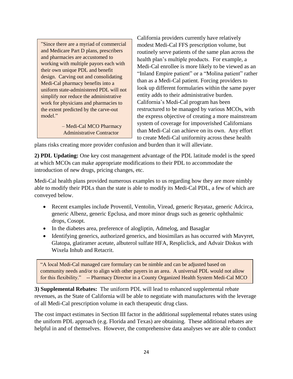"Since there are a myriad of commercial and Medicare Part D plans, prescribers and pharmacies are accustomed to working with multiple payors each with their own unique PDL and benefit design. Carving out and consolidating Medi-Cal pharmacy benefits into a uniform state-administered PDL will not simplify nor reduce the administrative work for physicians and pharmacies to the extent predicted by the carve-out model."

> – Medi-Cal MCO Pharmacy Administrative Contractor

California providers currently have relatively modest Medi-Cal FFS prescription volume, but routinely serve patients of the same plan across the health plan's multiple products. For example, a Medi-Cal enrollee is more likely to be viewed as an "Inland Empire patient" or a "Molina patient" rather than as a Medi-Cal patient. Forcing providers to look up different formularies within the same payer entity adds to their administrative burden. California's Medi-Cal program has been restructured to be managed by various MCOs, with the express objective of creating a more mainstream system of coverage for impoverished Californians than Medi-Cal can achieve on its own. Any effort to create Medi-Cal uniformity across these health

plans risks creating more provider confusion and burden than it will alleviate.

**2) PDL Updating:** One key cost management advantage of the PDL latitude model is the speed at which MCOs can make appropriate modifications to their PDL to accommodate the introduction of new drugs, pricing changes, etc.

Medi-Cal health plans provided numerous examples to us regarding how they are more nimbly able to modify their PDLs than the state is able to modify its Medi-Cal PDL, a few of which are conveyed below.

- Recent examples include Proventil, Ventolin, Viread, generic Reyataz, generic Adcirca, generic Albenz, generic Epclusa, and more minor drugs such as generic ophthalmic drops, Cosopt.
- In the diabetes area, preference of alogliptin, Admelog, and Basaglar
- Identifying generics, authorized generics, and biosimilars as has occurred with Mavyret, Glatopa, glatiramer acetate, albuterol sulfate HFA, Respliclick, and Advair Diskus with Wixela Inhub and Retacrit.

"A local Medi-Cal managed care formulary can be nimble and can be adjusted based on community needs and/or to align with other payers in an area. A universal PDL would not allow for this flexibility." -- Pharmacy Director in a County Organized Health System Medi-Cal MCO

**3) Supplemental Rebates:** The uniform PDL will lead to enhanced supplemental rebate revenues, as the State of California will be able to negotiate with manufactures with the leverage of all Medi-Cal prescription volume in each therapeutic drug class.

The cost impact estimates in Section III factor in the additional supplemental rebates states using the uniform PDL approach (e.g. Florida and Texas) are obtaining. These additional rebates are helpful in and of themselves. However, the comprehensive data analyses we are able to conduct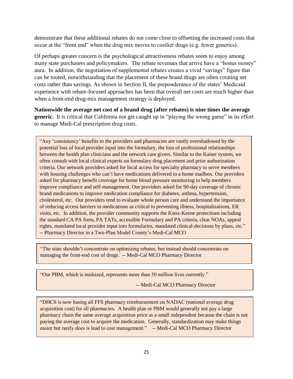demonstrate that these additional rebates do not come close to offsetting the increased costs that occur at the "front end" when the drug mix moves to costlier drugs (e.g. fewer generics).

Of perhaps greater concern is the psychological attractiveness rebates seem to enjoy among many state purchasers and policymakers. The rebate revenues that arrive have a "bonus money" aura. In addition, the negotiation of supplemental rebates creates a vivid "savings" figure that can be touted, notwithstanding that the placement of these brand drugs are often creating net costs rather than savings. As shown in Section II, the preponderance of the states' Medicaid experience with rebate-focused approaches has been that overall net costs are much higher than when a front-end drug-mix management strategy is deployed.

**Nationwide the average net cost of a brand drug (after rebates) is nine times the average generic.** It is critical that California not get caught up in "playing the wrong game" in its effort to manage Medi-Cal prescription drug costs.

"Any 'consistency' benefits to the providers and pharmacies are vastly overshadowed by the potential loss of local provider input into the formulary, the loss of professional relationships between the health plan clinicians and the network care givers. Similar to the Kaiser system, we often consult with local clinical experts on formulary drug placement and prior authorization criteria. Our network providers asked for local access for specialty pharmacy to serve members with housing challenges who can't have medications delivered to a home mailbox. Our providers asked for pharmacy benefit coverage for home blood pressure monitoring to help members improve compliance and self-management. Our providers asked for 90-day coverage of chronic brand medications to improve medication compliance for diabetes, asthma, hypertension, cholesterol, etc. Our providers tend to evaluate whole person care and understand the importance of reducing access barriers to medications as critical to preventing illness, hospitalizations, ER visits, etc. In addition, the provider community supports the Knox-Keene protections including the standard CA PA form, PA TATs, accessible Formulary and PA criteria, clear NOAs, appeal rights, mandated local provider input into formularies, mandated clinical-decisions by plans, etc." -- Pharmacy Director in a Two-Plan Model County's Medi-Cal MCO

"The state shouldn't concentrate on optimizing rebates, but instead should concentrate on managing the front-end cost of drugs. -- Medi-Cal MCO Pharmacy Director

"Our PBM, which is midsized, represents more than 50 million lives currently."

Ī

-- Medi-Cal MCO Pharmacy Director

"DHCS is now basing all FFS pharmacy reimbursement on NADAC (national average drug acquisition cost) for all pharmacies. A health plan or PBM would generally not pay a large pharmacy chain the same average acquisition price as a small independent because the chain is not paying the average cost to acquire the medication. Generally, standardization may make things easier but rarely does is lead to cost management." -- Medi-Cal MCO Pharmacy Director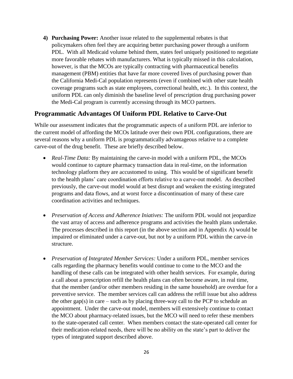**4) Purchasing Power:** Another issue related to the supplemental rebates is that policymakers often feel they are acquiring better purchasing power through a uniform PDL. With all Medicaid volume behind them, states feel uniquely positioned to negotiate more favorable rebates with manufacturers. What is typically missed in this calculation, however, is that the MCOs are typically contracting with pharmaceutical benefits management (PBM) entities that have far more covered lives of purchasing power than the California Medi-Cal population represents (even if combined with other state health coverage programs such as state employees, correctional health, etc.). In this context, the uniform PDL can only diminish the baseline level of prescription drug purchasing power the Medi-Cal program is currently accessing through its MCO partners.

### **Programmatic Advantages Of Uniform PDL Relative to Carve-Out**

While our assessment indicates that the programmatic aspects of a uniform PDL are inferior to the current model of affording the MCOs latitude over their own PDL configurations, there are several reasons why a uniform PDL is programmatically advantageous relative to a complete carve-out of the drug benefit. These are briefly described below.

- *Real-Time Data:* By maintaining the carve-in model with a uniform PDL, the MCOs would continue to capture pharmacy transaction data in real-time, on the information technology platform they are accustomed to using. This would be of significant benefit to the health plans' care coordination efforts relative to a carve-out model. As described previously, the carve-out model would at best disrupt and weaken the existing integrated programs and data flows, and at worst force a discontinuation of many of these care coordination activities and techniques.
- *Preservation of Access and Adherence Iniatives:* The uniform PDL would not jeopardize the vast array of access and adherence programs and activities the health plans undertake. The processes described in this report (in the above section and in Appendix A) would be impaired or eliminated under a carve-out, but not by a uniform PDL within the carve-in structure.
- *Preservation of Integrated Member Services:* Under a uniform PDL, member services calls regarding the pharmacy benefits would continue to come to the MCO and the handling of these calls can be integrated with other health services. For example, during a call about a prescription refill the health plans can often become aware, in real time, that the member (and/or other members residing in the same household) are overdue for a preventive service. The member services call can address the refill issue but also address the other gap(s) in care – such as by placing three-way call to the PCP to schedule an appointment. Under the carve-out model, members will extensively continue to contact the MCO about pharmacy-related issues, but the MCO will need to refer these members to the state-operated call center. When members contact the state-operated call center for their medication-related needs, there will be no ability on the state's part to deliver the types of integrated support described above.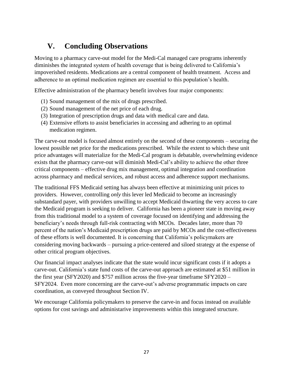# **V. Concluding Observations**

Moving to a pharmacy carve-out model for the Medi-Cal managed care programs inherently diminishes the integrated system of health coverage that is being delivered to California's impoverished residents. Medications are a central component of health treatment. Access and adherence to an optimal medication regimen are essential to this population's health.

Effective administration of the pharmacy benefit involves four major components:

- (1) Sound management of the mix of drugs prescribed.
- (2) Sound management of the net price of each drug.
- (3) Integration of prescription drugs and data with medical care and data.
- (4) Extensive efforts to assist beneficiaries in accessing and adhering to an optimal medication regimen.

The carve-out model is focused almost entirely on the second of these components – securing the lowest possible net price for the medications prescribed. While the extent to which these unit price advantages will materialize for the Medi-Cal program is debatable, overwhelming evidence exists that the pharmacy carve-out will diminish Medi-Cal's ability to achieve the other three critical components – effective drug mix management, optimal integration and coordination across pharmacy and medical services, and robust access and adherence support mechanisms.

The traditional FFS Medicaid setting has always been effective at minimizing unit prices to providers. However, controlling *only* this lever led Medicaid to become an increasingly substandard payer, with providers unwilling to accept Medicaid thwarting the very access to care the Medicaid program is seeking to deliver. California has been a pioneer state in moving away from this traditional model to a system of coverage focused on identifying and addressing the beneficiary's needs through full-risk contracting with MCOs. Decades later, more than 70 percent of the nation's Medicaid prescription drugs are paid by MCOs and the cost-effectiveness of these efforts is well documented. It is concerning that California's policymakers are considering moving backwards – pursuing a price-centered and siloed strategy at the expense of other critical program objectives.

Our financial impact analyses indicate that the state would incur significant costs if it adopts a carve-out. California's state fund costs of the carve-out approach are estimated at \$51 million in the first year (SFY2020) and \$757 million across the five-year timeframe SFY2020 – SFY2024. Even more concerning are the carve-out's adverse programmatic impacts on care coordination, as conveyed throughout Section IV.

We encourage California policymakers to preserve the carve-in and focus instead on available options for cost savings and administarive improvements within this integrated structure.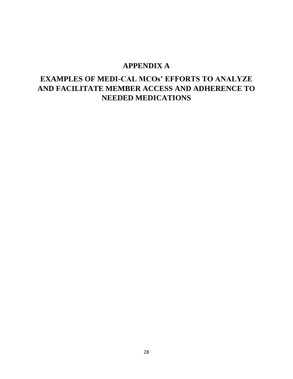# **APPENDIX A**

# **EXAMPLES OF MEDI-CAL MCOs' EFFORTS TO ANALYZE AND FACILITATE MEMBER ACCESS AND ADHERENCE TO NEEDED MEDICATIONS**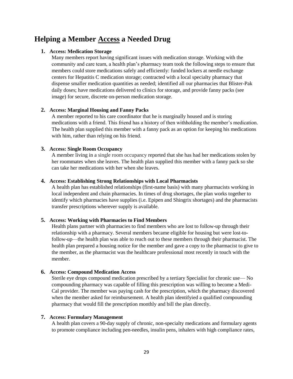# **Helping a Member Access a Needed Drug**

### **1. Access: Medication Storage**

Many members report having significant issues with medication storage. Working with the community and care team, a health plan's pharmacy team took the following steps to ensure that members could store medications safely and efficiently: funded lockers at needle exchange centers for Hepatitis C medication storage; contracted with a local specialty pharmacy that dispense smaller medication quantities as needed; identified all our pharmacies that Blister-Pak daily doses; have medications delivered to clinics for storage, and provide fanny packs (see image) for secure, discrete on-person medication storage.

### **2. Access: Marginal Housing and Fanny Packs**

A member reported to his care coordinator that he is marginally housed and is storing medications with a friend. This friend has a history of then withholding the member's medication. The health plan supplied this member with a fanny pack as an option for keeping his medications with him, rather than relying on his friend.

### **3. Access: Single Room Occupancy**

A member living in a single room occupancy reported that she has had her medications stolen by her roommates when she leaves. The health plan supplied this member with a fanny pack so she can take her medications with her when she leaves.

### **4. Access: Establishing Strong Relationships with Local Pharmacists**

A health plan has established relationships (first-name basis) with many pharmacists working in local independent and chain pharmacies. In times of drug shortages, the plan works together to identify which pharmacies have supplies (i.e. Epipen and Shingrix shortages) and the pharmacists transfer prescriptions wherever supply is available.

### **5. Access: Working with Pharmacies to Find Members**

Health plans partner with pharmacies to find members who are lost to follow-up through their relationship with a pharmacy. Several members became eligible for housing but were lost-tofollow-up—the health plan was able to reach out to these members through their pharmacist. The health plan prepared a housing notice for the member and gave a copy to the pharmacist to give to the member, as the pharmacist was the healthcare professional most recently in touch with the member.

### **6. Access: Compound Medication Access**

Sterile eye drops compound medication prescribed by a tertiary Specialist for chronic use— No compounding pharmacy was capable of filling this prescription was willing to become a Medi-Cal provider. The member was paying cash for the prescription, which the pharmacy discovered when the member asked for reimbursement. A health plan identifyied a qualified compounding pharmacy that would fill the prescription monthly and bill the plan directly.

### **7. Access: Formulary Management**

A health plan covers a 90-day supply of chronic, non-specialty medications and formulary agents to promote compliance including pen-needles, insulin pens, inhalers with high compliance rates,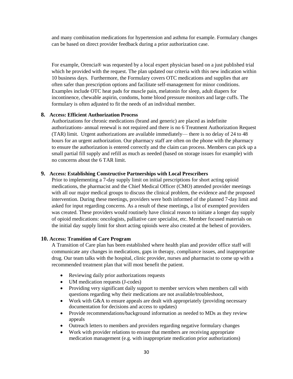and many combination medications for hypertension and asthma for example. Formulary changes can be based on direct provider feedback during a prior authorization case.

For example, Orencia® was requested by a local expert physician based on a just published trial which he provided with the request. The plan updated our criteria with this new indication within 10 business days. Furthermore, the Formulary covers OTC medications and supplies that are often safer than prescription options and facilitate self-management for minor conditions. Examples include OTC heat pads for muscle pain, melatonin for sleep, adult diapers for incontinence, chewable aspirin, condoms, home blood pressure monitors and large cuffs. The formulary is often adjusted to fit the needs of an individual member.

### **8. Access: Efficient Authorization Process**

Authorizations for chronic medications (brand and generic) are placed as indefinite authorizations- annual renewal is not required and there is no 6 Treatment Authorization Request (TAR) limit. Urgent authorizations are available immediately— there is no delay of 24 to 48 hours for an urgent authorization. Our pharmacy staff are often on the phone with the pharmacy to ensure the authorization is entered correctly and the claim can process. Members can pick up a small partial fill supply and refill as much as needed (based on storage issues for example) with no concerns about the 6 TAR limit.

### **9. Access: Establishing Constructive Partnerships with Local Prescribers**

Prior to implementing a 7-day supply limit on initial prescriptions for short acting opioid medications, the pharmacist and the Chief Medical Officer (CMO) attended provider meetings with all our major medical groups to discuss the clinical problem, the evidence and the proposed intervention. During these meetings, providers were both informed of the planned 7-day limit and asked for input regarding concerns. As a result of these meetings, a list of exempted providers was created. These providers would routinely have clinical reason to initiate a longer day supply of opioid medications: oncologists, palliative care specialist, etc. Member focused materials on the initial day supply limit for short acting opioids were also created at the behest of providers.

#### **10. Access: Transition of Care Program**

A Transition of Care plan has been established where health plan and provider office staff will communicate any changes in medications, gaps in therapy, compliance issues, and inappropriate drug. Our team talks with the hospital, clinic provider, nurses and pharmacist to come up with a recommended treatment plan that will most benefit the patient.

- Reviewing daily prior authorizations requests
- UM medication requests (J-codes)
- Providing very significant daily support to member services when members call with questions regarding why their medications are not available/troubleshoot,
- Work with G&A to ensure appeals are dealt with appropriately (providing necessary documentation for decisions and access to updates)
- Provide recommendations/background information as needed to MDs as they review appeals
- Outreach letters to members and providers regarding negative formulary changes
- Work with provider relations to ensure that members are receiving appropriate medication management (e.g. with inappropriate medication prior authorizations)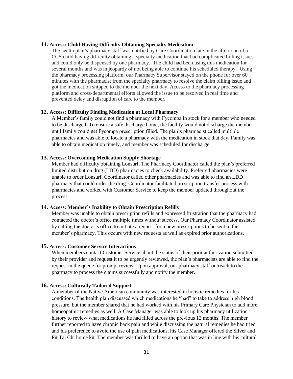### **11. Access: Child Having Difficulty Obtaining Specialty Medication**

The health plan's pharmacy staff was notified by Care Coordination late in the afternoon of a CCS child having difficulty obtaining a specialty medication that had complicated billing issues and could only be dispensed by one pharmacy. The child had been using this medication for several months and was in jeopardy of not being able to continue his scheduled therapy. Using the pharmacy processing platform, our Pharmacy Supervisor stayed on the phone for over 60 minutes with the pharmacist from the specialty pharmacy to resolve the claim billing issue and got the medication shipped to the member the next day. Access to the pharmacy processing platform and cross-departmental efforts allowed the issue to be resolved in real time and prevented delay and disruption of care to the member.

#### **12. Access: Difficulty Finding Medication at Local Pharmacy**

A Member's family could not find a pharmacy with Fycompa in stock for a member who needed to be discharged. To ensure a safe discharge home, the facility would not discharge the member until family could get Fycompa prescription filled. The plan's pharmacist called multiple pharmacies and was able to locate a pharmacy with the medication in stock that day. Family was able to obtain medication timely, and member was scheduled for discharge.

### **13. Access: Overcoming Medication Supply Shortage**

Member had difficulty obtaining Lonsurf. The Pharmacy Coordinator called the plan's preferred limited distribution drug (LDD) pharmacies to check availability. Preferred pharmacies were unable to order Lonsurf. Coordinator called other pharmacies and was able to find an LDD pharmacy that could order the drug. Coordinator facilitated prescription transfer process with pharmacies and worked with Customer Service to keep the member updated throughout the process.

#### **14. Access: Member's Inability to Obtain Prescription Refills**

Member was unable to obtain prescription refills and expressed frustration that the pharmacy had contacted the doctor's office multiple times without success. Our Pharmacy Coordinator assisted by calling the doctor's office to initiate a request for a new prescriptions to be sent to the member's pharmacy. This occurs with new requests as well as expired prior authorizations.

#### **15. Access: Customer Service Interactions**

When members contact Customer Service about the status of their prior authorization submitted by their provider and request it to be urgently reviewed, the plan's pharmacists are able to find the request in the queue for prompt review. Upon approval, our pharmacy staff outreach to the pharmacy to process the claims successfully and notify the member.

#### **16. Access: Culturally Tailored Support**

A member of the Native American community was interested in holistic remedies for his conditions. The health plan discussed which medications he "had" to take to address high blood pressure, but the member shared that he had worked with his Primary Care Physician to add more homeopathic remedies as well. A Case Manager was able to look up his pharmacy utilization history to review what medications he had filled across the previous 12 months. The member further reported to have chronic back pain and while discussing the natural remedies he had tried and his preference to avoid the use of pain medications, his Case Manager offered the Silver and Fit Tai Chi home kit. The member was thrilled to have an option that was in line with his cultural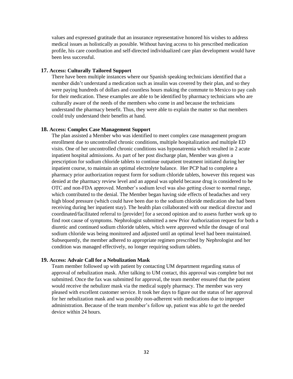values and expressed gratitude that an insurance representative honored his wishes to address medical issues as holistically as possible. Without having access to his prescribed medication profile, his care coordination and self-directed individualized care plan development would have been less successful.

### **17. Access: Culturally Tailored Support**

There have been multiple instances where our Spanish speaking technicians identified that a member didn't understand a medication such as insulin was covered by their plan, and so they were paying hundreds of dollars and countless hours making the commute to Mexico to pay cash for their medication. These examples are able to be identified by pharmacy technicians who are culturally aware of the needs of the members who come in and because the technicians understand the pharmacy benefit. Thus, they were able to explain the matter so that members could truly understand their benefits at hand.

### **18. Access: Complex Case Management Support**

The plan assisted a Member who was identified to meet complex case management program enrollment due to uncontrolled chronic conditions, multiple hospitalization and multiple ED visits. One of her uncontrolled chronic conditions was hyponatremia which resulted in 2 acute inpatient hospital admissions. As part of her post discharge plan, Member was given a prescription for sodium chloride tablets to continue outpatient treatment initiated during her inpatient course, to maintain an optimal electrolyte balance. Her PCP had to complete a pharmacy prior authorization request form for sodium chloride tablets, however this request was denied at the pharmacy review level and an appeal was upheld because drug is considered to be OTC and non-FDA approved. Member's sodium level was also getting closer to normal range, which contributed to the denial. The Member began having side effects of headaches and very high blood pressure (which could have been due to the sodium chloride medication she had been receiving during her inpatient stay). The health plan collaborated with our medical director and coordinated/facilitated referral to [provider] for a second opinion and to assess further work up to find root cause of symptoms. Nephrologist submitted a new Prior Authorization request for both a diuretic and continued sodium chloride tablets, which were approved while the dosage of oral sodium chloride was being monitored and adjusted until an optimal level had been maintained. Subsequently, the member adhered to appropriate regimen prescribed by Nephrologist and her condition was managed effectively, no longer requiring sodium tablets.

### **19. Access: Advair Call for a Nebulization Mask**

Team member followed up with patient by contacting UM department regarding status of approval of nebulization mask. After talking to UM contact, this approval was complete but not submitted. Once the fax was submitted for approval, the team member ensured that the patient would receive the nebulizer mask via the medical supply pharmacy. The member was very pleased with excellent customer service. It took her days to figure out the status of her approval for her nebulization mask and was possibly non-adherent with medications due to improper administration. Because of the team member's follow up, patient was able to get the needed device within 24 hours.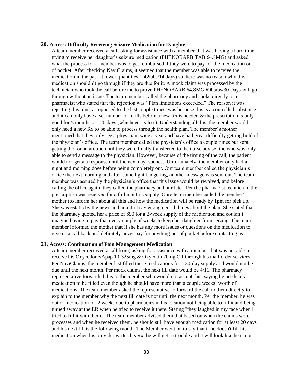#### **20. Access: Difficulty Receiving Seizure Medication for Daughter**

A team member received a call asking for assistance with a member that was having a hard time trying to receive her daughter's seizure medication (PHENOBARB TAB 64.8MG) and asked what the process for a member was to get reimbursed if they were to pay for the medication out of pocket. After checking NaviClaims, it seemed that the member was able to receive the medication in the past at lower quantities (#42tabs/14 days) so there was no reason why this medication shouldn't go through if they are due for it. A mock claim was processed by the technician who took the call before me to prove PHENOBARB 64.8MG #90tabs/30 Days will go through without an issue. The team member called the pharmacy and spoke directly to a pharmacist who stated that the rejection was "Plan limitations exceeded." The reason it was rejecting this time, as opposed to the last couple times, was because this is a controlled substance and it can only have a set number of refills before a new Rx is needed  $&$  the prescription is only good for 5 months or 120 days (whichever is less). Understanding all this, the member would only need a new Rx to be able to process through the health plan. The member's mother mentioned that they only see a physician twice a year and have had great difficulty getting hold of the physician's office. The team member called the physician's office a couple times but kept getting the round around until they were finally transferred to the nurse advise line who was only able to send a message to the physician. However, because of the timing of the call, the patient would not get a a response until the next day, soonest. Unfortunately, the member only had a night and morning dose before being completely out. Our team member called the physician's office the next morning and after some light badgering, another message was sent out. The team member was assured by the physician's office that this issue would be revolved, and before calling the office again, they called the pharmacy an hour later. Per the pharmacist technician, the prescription was received for a full month's supply. Oure team member called the member's mother (to inform her about all this and how the medication will be ready by 1pm for pick up. She was estatic by the news and couldn't say enough good things about the plan. She stated that the pharmacy quoted her a price of \$50 for a 2-week supply of the medication and couldn't imagine having to pay that every couple of weeks to keep her daughter from seizing. The team member informed the mother that if she has any more issues or questions on the medication to give us a call back and definitely never pay for anything out of pocket before contacting us.

#### **21. Access: Continuation of Pain Management Medication**

A team member received a call from) asking for assistance with a member that was not able to receive his Oxycodone/Apap 10-325mg & Oxycotin 20mg CR through his mail order services. Per NaviClaims, the member last filled these medications for a 30-day supply and would not be due until the next month. Per mock claims, the next fill date would be 4/11. The pharmacy representative forwarded this to the member who would not accept this, saying he needs his medication to be filled even though he should have more than a couple weeks' worth of medications. The team member asked the representative to forward the call to them directly to explain to the member why the next fill date is not until the next month. Per the member, he was out of medication for 2 weeks due to pharmacies in his location not being able to fill it and being turned away at the ER when he tried to receive it there. Stating "they laughed in my face when I tried to fill it with them." The team member advised them that based on when the claims were processes and when he received them, he should still have enough medication for at least 20 days and his next fill is the following month. The Member went on to say that if he doesn't fill his medication when his provider writes his Rx, he will get in trouble and it will look like he is not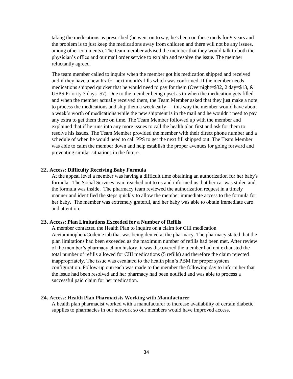taking the medications as prescribed (he went on to say, he's been on these meds for 9 years and the problem is to just keep the medications away from children and there will not be any issues, among other comments). The team member advised the member that they would talk to both the physician's office and our mail order service to explain and resolve the issue. The member reluctantly agreed.

The team member called to inquire when the member got his medication shipped and received and if they have a new Rx for next month's fills which was confirmed. If the member needs medications shipped quicker that he would need to pay for them (Overnight= $\$32$ , 2 day= $\$13$ , & USPS Priority 3 days=\$7). Due to the member being upset as to when the medication gets filled and when the member actually received them, the Team Member asked that they just make a note to process the medications and ship them a week early— this way the member would have about a week's worth of medications while the new shipment is in the mail and he wouldn't need to pay any extra to get them there on time. The Team Member followed up with the member and explained that if he runs into any more issues to call the health plan first and ask for them to resolve his issues. The Team Member provided the member with their direct phone number and a schedule of when he would need to call PPS to get the next fill shipped out. The Team Member was able to calm the member down and help establish the proper avenues for going forward and preventing similar situations in the future.

### **22. Access: Difficulty Receiving Baby Formula**

At the appeal level a member was having a difficult time obtaining an authorization for her baby's formula. The Social Services team reached out to us and informed us that her car was stolen and the formula was inside. The pharmacy team reviewed the authorization request in a timely manner and identified the steps quickly to allow the member immediate access to the formula for her baby. The member was extremely grateful, and her baby was able to obtain immediate care and attention.

#### **23. Access: Plan Limitations Exceeded for a Number of Refills**

A member contacted the Health Plan to inquire on a claim for CIII medication Acetaminophen/Codeine tab that was being denied at the pharmacy. The pharmacy stated that the plan limitations had been exceeded as the maximum number of refills had been met. After review of the member's pharmacy claim history, it was discovered the member had not exhausted the total number of refills allowed for CIII medications (5 refills) and therefore the claim rejected inappropriately. The issue was escalated to the health plan's PBM for proper system configuration. Follow-up outreach was made to the member the following day to inform her that the issue had been resolved and her pharmacy had been notified and was able to process a successful paid claim for her medication.

#### **24. Access: Health Plan Pharmacists Working with Manufacturer**

A health plan pharmacist worked with a manufacturer to increase availability of certain diabetic supplies to pharmacies in our network so our members would have improved access.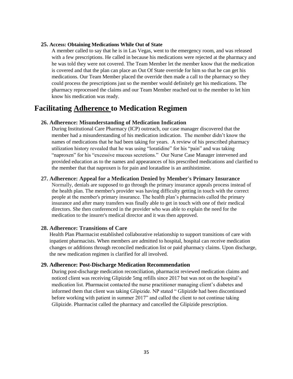#### **25. Access: Obtaining Medications While Out of State**

A member called to say that he is in Las Vegas, went to the emergency room, and was released with a few prescriptions. He called in because his medications were rejected at the pharmacy and he was told they were not covered. The Team Member let the member know that the medication is covered and that the plan can place an Out Of State override for him so that he can get his medications. Our Team Member placed the override then made a call to the pharmacy so they could process the prescriptions just so the member would definitely get his medications. The pharmacy reprocessed the claims and our Team Member reached out to the member to let him know his medication was ready.

## **Facilitating Adherence to Medication Regimen**

### **26. Adherence: Misunderstanding of Medication Indication**

During Institutional Care Pharmacy (ICP) outreach, our case manager discovered that the member had a misunderstanding of his medication indication. The member didn't know the names of medications that he had been taking for years. A review of his prescribed pharmacy utilization history revealed that he was using "loratidine" for his "pain" and was taking "naproxen" for his "excessive mucous secretions." Our Nurse Case Manager intervened and provided education as to the names and appearances of his prescribed medications and clarified to the member that that naproxen is for pain and loratadine is an antihistimine.

### **27. Adherence: Appeal for a Medication Denied by Member's Primary Insurance**

Normally, denials are supposed to go through the primary insurance appeals process instead of the health plan. The member's provider was having difficulty getting in touch with the correct people at the member's primary insurance. The health plan's pharmacists called the primary insurance and after many transfers was finally able to get in touch with one of their medical directors. She then conferenced in the provider who was able to explain the need for the medication to the insurer's medical director and it was then approved.

### **28. Adherence: Transitions of Care**

Health Plan Pharmacist established collaborative relationship to support transitions of care with inpatient pharmacists. When members are admitted to hospital, hospital can receive medication changes or additions through reconciled medication list or paid pharmacy claims. Upon discharge, the new medication regimen is clarified for all involved.

#### **29. Adherence: Post-Discharge Medication Recommendation**

During post-discharge medication reconciliation, pharmacist reviewed medication claims and noticed client was receiving Glipizide 5mg refills since 2017 but was not on the hospital's medication list. Pharmacist contacted the nurse practitioner managing client's diabetes and informed them that client was taking Glipizide. NP stated " Glipizide had been discontinued before working with patient in summer 2017" and called the client to not continue taking Glipizide. Pharmacist called the pharmacy and cancelled the Glipizide prescription.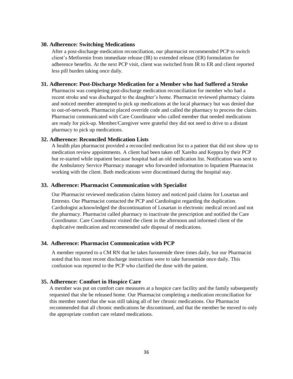### **30. Adherence: Switching Medications**

After a post-discharge medication reconciliation, our pharmacist recommended PCP to switch client's Metformin from immediate release (IR) to extended release (ER) formulation for adherence benefits. At the next PCP visit, client was switched from IR to ER and client reported less pill burden taking once daily.

### **31. Adherence: Post-Discharge Medication for a Member who had Suffered a Stroke**

Pharmacist was completing post-discharge medication reconciliation for member who had a recent stroke and was discharged to the daughter's home. Pharmacist reviewed pharmacy claims and noticed member attempted to pick up medications at the local pharmacy but was denied due to out-of-network. Pharmacist placed override code and called the pharmacy to process the claim. Pharmacist communicated with Care Coordinator who called member that needed medications are ready for pick-up. Member/Caregiver were grateful they did not need to drive to a distant pharmacy to pick up medications.

### **32. Adherence: Reconciled Medication Lists**

A health plan pharmacist provided a reconciled medication list to a patient that did not show up to medication review appointments. A client had been taken off Xarelto and Keppra by their PCP but re-started while inpatient because hospital had an old medication list. Notification was sent to the Ambulatory Service Pharmacy manager who forwarded information to Inpatient Pharmacist working with the client. Both medications were discontinued during the hospital stay.

### **33. Adherence: Pharmacist Communication with Specialist**

Our Pharmacist reviewed medication claims history and noticed paid claims for Losartan and Entresto. Our Pharmacist contacted the PCP and Cardiologist regarding the duplication. Cardiologist acknowledged the discontinuation of Losartan in electronic medical record and not the pharmacy. Pharmacist called pharmacy to inactivate the prescription and notified the Care Coordinator. Care Coordinator visited the client in the afternoon and informed client of the duplicative medication and recommended safe disposal of medications.

### **34. Adherence: Pharmacist Communication with PCP**

A member reported to a CM RN that he takes furosemide three times daily, but our Pharmacist noted that his most recent discharge instructions were to take furosemide once daily. This confusion was reported to the PCP who clarified the dose with the patient.

### **35. Adherence: Comfort in Hospice Care**

A member was put on comfort care measures at a hospice care facility and the family subsequently requested that she be released home. Our Pharmacist completing a medication reconciliation for this member noted that she was still taking all of her chronic medications. Our Pharmacist recommended that all chronic medications be discontinued, and that the member be moved to only the appropriate comfort care related medications.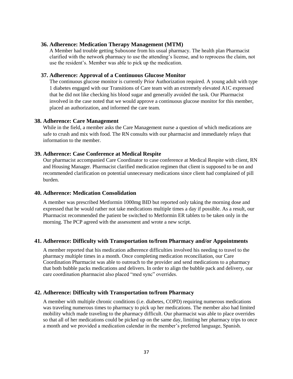### **36. Adherence: Medication Therapy Management (MTM)**

A Member had trouble getting Suboxone from his usual pharmacy. The health plan Pharmacist clarified with the network pharmacy to use the attending's license, and to reprocess the claim, not use the resident's. Member was able to pick up the medication.

### **37. Adherence: Approval of a Continuous Glucose Monitor**

The continuous glucose monitor is currently Prior Authorization required. A young adult with type 1 diabetes engaged with our Transitions of Care team with an extremely elevated A1C expressed that he did not like checking his blood sugar and generally avoided the task. Our Pharmacist involved in the case noted that we would approve a continuous glucose monitor for this member, placed an authorization, and informed the care team.

### **38. Adherence: Care Management**

While in the field, a member asks the Care Management nurse a question of which medications are safe to crush and mix with food. The RN consults with our pharmacist and immediately relays that information to the member.

### **39. Adherence: Case Conference at Medical Respite**

Our pharmacist accompanied Care Coordinator to case conference at Medical Respite with client, RN and Housing Manager. Pharmacist clarified medication regimen that client is supposed to be on and recommended clarification on potential unnecessary medications since client had complained of pill burden.

### **40. Adherence: Medication Consolidation**

A member was prescribed Metformin 1000mg BID but reported only taking the morning dose and expressed that he would rather not take medications multiple times a day if possible. As a result, our Pharmacist recommended the patient be switched to Metformin ER tablets to be taken only in the morning. The PCP agreed with the assessment and wrote a new script.

### **41. Adherence: Difficulty with Transportation to/from Pharmacy and/or Appointments**

A member reported that his medication adherence difficulties involved his needing to travel to the pharmacy multiple times in a month. Once completing medication reconciliation, our Care Coordination Pharmacist was able to outreach to the provider and send medications to a pharmacy that both bubble packs medications and delivers. In order to align the bubble pack and delivery, our care coordination pharmacist also placed "med sync" overrides.

### **42. Adherence: Difficulty with Transportation to/from Pharmacy**

A member with multiple chronic conditions (i.e. diabetes, COPD) requiring numerous medications was traveling numerous times to pharmacy to pick up her medications. The member also had limited mobility which made traveling to the pharmacy difficult. Our pharmacist was able to place overrides so that all of her medications could be picked up on the same day, limiting her pharmacy trips to once a month and we provided a medication calendar in the member's preferred language, Spanish.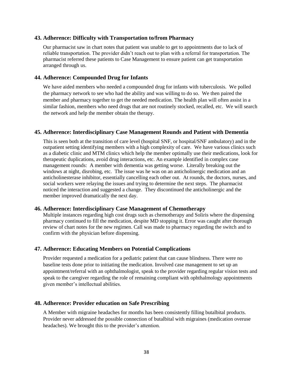### **43. Adherence: Difficulty with Transportation to/from Pharmacy**

Our pharmacist saw in chart notes that patient was unable to get to appointments due to lack of reliable transportation. The provider didn't reach out to plan with a referral for transportation. The pharmacist referred these patients to Case Management to ensure patient can get transportation arranged through us.

### **44. Adherence: Compounded Drug for Infants**

We have aided members who needed a compounded drug for infants with tuberculosis. We polled the pharmacy network to see who had the ability and was willing to do so. We then paired the member and pharmacy together to get the needed medication. The health plan will often assist in a similar fashion, members who need drugs that are not routinely stocked, recalled, etc. We will search the network and help the member obtain the therapy.

### **45. Adherence: Interdisciplinary Case Management Rounds and Patient with Dementia**

This is seen both at the transition of care level (hospital SNF, or hospital/SNF ambulatory) and in the outpatient setting identifying members with a high complexity of care. We have various clinics such as a diabetic clinic and MTM clinics which help the member optimally use their medications, look for therapeutic duplications, avoid drug interactions, etc. An example identified in complex case management rounds: A member with dementia was getting worse. Literally breaking out the windows at night, disrobing, etc. The issue was he was on an anticholinergic medication and an anticholinesterase inhibitor, essentially cancelling each other out. At rounds, the doctors, nurses, and social workers were relaying the issues and trying to determine the next steps. The pharmacist noticed the interaction and suggested a change. They discontinued the anticholinergic and the member improved dramatically the next day.

### **46. Adherence: Interdisciplinary Case Management of Chemotherapy**

Multiple instances regarding high cost drugs such as chemotherapy and Soliris where the dispensing pharmacy continued to fill the medication, despite MD stopping it. Error was caught after thorough review of chart notes for the new regimen. Call was made to pharmacy regarding the switch and to confirm with the physician before dispensing.

#### **47. Adherence: Educating Members on Potential Complications**

Provider requested a medication for a pediatric patient that can cause blindness. There were no baseline tests done prior to initiating the medication. Involved case management to set up an appointment/referral with an ophthalmologist, speak to the provider regarding regular vision tests and speak to the caregiver regarding the role of remaining compliant with ophthalmology appointments given member's intellectual abilities.

### **48. Adherence: Provider education on Safe Prescribing**

A Member with migraine headaches for months has been consistently filling butalbital products. Provider never addressed the possible connection of butalbital with migraines (medication overuse headaches). We brought this to the provider's attention.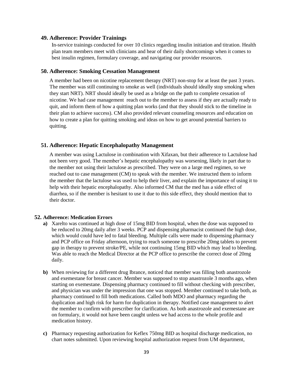### **49. Adherence: Provider Trainings**

In-service trainings conducted for over 10 clinics regarding insulin initiation and titration. Health plan team members meet with clinicians and hear of their daily shortcomings when it comes to best insulin regimen, formulary coverage, and navigating our provider resources.

### **50. Adherence: Smoking Cessation Management**

A member had been on nicotine replacement therapy (NRT) non-stop for at least the past 3 years. The member was still continuing to smoke as well (individuals should ideally stop smoking when they start NRT). NRT should ideally be used as a bridge on the path to complete cessation of nicotine. We had case management reach out to the member to assess if they are actually ready to quit, and inform them of how a quitting plan works (and that they should stick to the timeline in their plan to achieve success). CM also provided relevant counseling resources and education on how to create a plan for quitting smoking and ideas on how to get around potential barriers to quitting.

### **51. Adherence: Hepatic Encephalopathy Management**

A member was using Lactulose in combination with Xifaxan, but their adherence to Lactulose had not been very good. The member's hepatic encephalopathy was worsening, likely in part due to the member not using their lactulose as prescribed. They were on a large med regimen, so we reached out to case management (CM) to speak with the member. We instructed them to inform the member that the lactulose was used to help their liver, and explain the importance of using it to help with their hepatic encephalopathy. Also informed CM that the med has a side effect of diarrhea, so if the member is hesitant to use it due to this side effect, they should mention that to their doctor.

#### **52. Adherence: Medication Errors**

- **a)** Xarelto was continued at high dose of 15mg BID from hospital, when the dose was supposed to be reduced to 20mg daily after 3 weeks. PCP and dispensing pharmacist continued the high dose, which would could have led to fatal bleeding. Multiple calls were made to dispensing pharmacy and PCP office on Friday afternoon, trying to reach someone to prescribe 20mg tablets to prevent gap in therapy to prevent stroke/PE, while not continuing 15mg BID which may lead to bleeding. Was able to reach the Medical Director at the PCP office to prescribe the correct dose of 20mg daily.
- **b)** When reviewing for a different drug Ibrance, noticed that member was filling both anastrozole and exemestane for breast cancer. Member was supposed to stop anastrozole 3 months ago, when starting on exemestane. Dispensing pharmacy continued to fill without checking with prescriber, and physician was under the impression that one was stopped. Member continued to take both, as pharmacy continued to fill both medications. Called both MDO and pharmacy regarding the duplication and high risk for harm for duplication in therapy. Notified case management to alert the member to confirm with prescriber for clarification. As both anastrozole and exemestane are on formulary, it would not have been caught unless we had access to the whole profile and medication history.
- **c)** Pharmacy requesting authorization for Keflex 750mg BID as hospital discharge medication, no chart notes submitted. Upon reviewing hospital authorization request from UM department,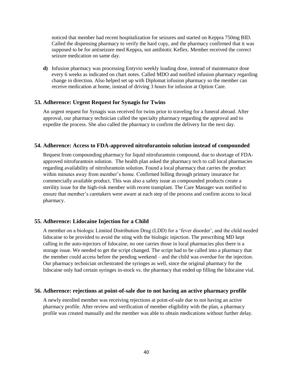noticed that member had recent hospitalization for seizures and started on Keppra 750mg BID. Called the dispensing pharmacy to verify the hard copy, and the pharmacy confirmed that it was supposed to be for antiseizure med Keppra, not antibiotic Keflex. Member received the correct seizure medication on same day.

**d)** Infusion pharmacy was processing Entyvio weekly loading dose, instead of maintenance dose every 6 weeks as indicated on chart notes. Called MDO and notified infusion pharmacy regarding change in direction. Also helped set up with Diplomat infusion pharmacy so the member can receive medication at home, instead of driving 3 hours for infusion at Option Care.

### **53. Adherence: Urgent Request for Synagis for Twins**

An urgent request for Synagis was received for twins prior to traveling for a funeral abroad. After approval, our pharmacy technician called the specialty pharmacy regarding the approval and to expedite the process. She also called the pharmacy to confirm the delivery for the next day.

### **54. Adherence: Access to FDA-approved nitrofurantoin solution instead of compounded**

Request from compounding pharmacy for liquid nitrofurantoin compound, due to shortage of FDAapproved nitrofurantoin solution. The health plan asked the pharmacy tech to call local pharmacies regarding availability of nitrofurantoin solution. Found a local pharmacy that carries the product within minutes away from member's home. Confirmed billing through primary insurance for commercially available product. This was also a safety issue as compounded products create a sterility issue for the high-risk member with recent transplant. The Care Manager was notified to ensure that member's caretakers were aware at each step of the process and confirm access to local pharmacy.

### **55. Adherence: Lidocaine Injection for a Child**

A member on a biologic Limited Distribution Drug (LDD) for a 'fever disorder', and the child needed lidocaine to be provided to avoid the sting with the biologic injection. The prescribing MD kept calling in the auto-injectors of lidocaine, no one carries those in local pharmacies plus there is a storage issue. We needed to get the script changed. The script had to be called into a pharmacy that the member could access before the pending weekend – and the child was overdue for the injection. Our pharmacy technician orchestrated the syringes as well, since the original pharmacy for the lidocaine only had certain syringes in-stock vs. the pharmacy that ended up filling the lidocaine vial.

### **56. Adherence: rejections at point-of-sale due to not having an active pharmacy profile**

A newly enrolled member was receiving rejections at point-of-sale due to not having an active pharmacy profile. After review and verification of member eligibility with the plan, a pharmacy profile was created manually and the member was able to obtain medications without further delay.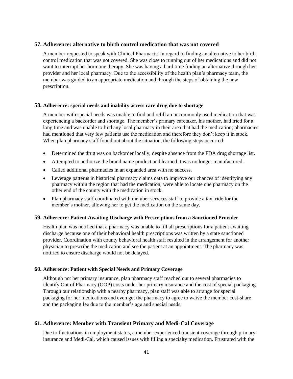### **57. Adherence: alternative to birth control medication that was not covered**

A member requested to speak with Clinical Pharmacist in regard to finding an alternative to her birth control medication that was not covered. She was close to running out of her medications and did not want to interrupt her hormone therapy. She was having a hard time finding an alternative through her provider and her local pharmacy. Due to the accessibility of the health plan's pharmacy team, the member was guided to an appropriate medication and through the steps of obtaining the new prescription.

### **58. Adherence: special needs and inability access rare drug due to shortage**

A member with special needs was unable to find and refill an uncommonly used medication that was experiencing a backorder and shortage. The member's primary caretaker, his mother, had tried for a long time and was unable to find any local pharmacy in their area that had the medication; pharmacies had mentioned that very few patients use the medication and therefore they don't keep it in stock. When plan pharmacy staff found out about the situation, the following steps occurred:

- Determined the drug was on backorder locally, despite absence from the FDA drug shortage list.
- Attempted to authorize the brand name product and learned it was no longer manufactured.
- Called additional pharmacies in an expanded area with no success.
- Leverage patterns in historical pharmacy claims data to improve our chances of identifying any pharmacy within the region that had the medication; were able to locate one pharmacy on the other end of the county with the medication in stock.
- Plan pharmacy staff coordinated with member services staff to provide a taxi ride for the member's mother, allowing her to get the medication on the same day.

#### **59. Adherence: Patient Awaiting Discharge with Prescriptions from a Sanctioned Provider**

Health plan was notified that a pharmacy was unable to fill all prescriptions for a patient awaiting discharge because one of their behavioral health prescriptions was written by a state sanctioned provider. Coordination with county behavioral health staff resulted in the arrangement for another physician to prescribe the medication and see the patient at an appointment. The pharmacy was notified to ensure discharge would not be delayed.

#### **60. Adherence: Patient with Special Needs and Primary Coverage**

Although not her primary insurance, plan pharmacy staff reached out to several pharmacies to identify Out of Pharmacy (OOP) costs under her primary insurance and the cost of special packaging. Through our relationship with a nearby pharmacy, plan staff was able to arrange for special packaging for her medications and even get the pharmacy to agree to waive the member cost-share and the packaging fee due to the member's age and special needs.

### **61. Adherence: Member with Transient Primary and Medi-Cal Coverage**

Due to fluctuations in employment status, a member experienced transient coverage through primary insurance and Medi-Cal, which caused issues with filling a specialty medication. Frustrated with the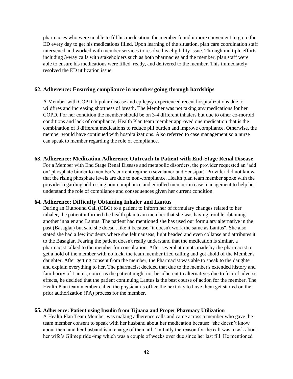pharmacies who were unable to fill his medication, the member found it more convenient to go to the ED every day to get his medications filled. Upon learning of the situation, plan care coordination staff intervened and worked with member services to resolve his eligibility issue. Through multiple efforts including 3-way calls with stakeholders such as both pharmacies and the member, plan staff were able to ensure his medications were filled, ready, and delivered to the member. This immediately resolved the ED utilization issue.

### **62. Adherence: Ensuring compliance in member going through hardships**

A Member with COPD, bipolar disease and epilepsy experienced recent hospitalizations due to wildfires and increasing shortness of breath. The Member was not taking any medications for her COPD. For her condition the member should be on 3-4 different inhalers but due to other co-morbid conditions and lack of compliance, Health Plan team member approved one medication that is the combination of 3 different medications to reduce pill burden and improve compliance. Otherwise, the member would have continued with hospitalizations. Also referred to case management so a nurse can speak to member regarding the role of compliance.

### **63. Adherence: Medication Adherence Outreach to Patient with End-Stage Renal Disease**

For a Member with End Stage Renal Disease and metabolic disorders, the provider requested an 'add on' phosphate binder to member's current regimen (sevelamer and Sensipar). Provider did not know that the rising phosphate levels are due to non-compliance. Health plan team member spoke with the provider regarding addressing non-compliance and enrolled member in case management to help her understand the role of compliance and consequences given her current condition.

### **64. Adherence: Difficulty Obtaining Inhaler and Lantus**

During an Outbound Call (OBC) to a patient to inform her of formulary changes related to her inhaler, the patient informed the health plan team member that she was having trouble obtaining another inhaler and Lantus. The patient had mentioned she has used our formulary alternative in the past (Basaglar) but said she doesn't like it because "it doesn't work the same as Lantus". She also stated she had a few incidents where she felt nauseas, light headed and even collapse and attributes it to the Basaglar. Fearing the patient doesn't really understand that the medication is similar, a pharmacist talked to the member for consultation. After several attempts made by the pharmacist to get a hold of the member with no luck, the team member tried calling and got ahold of the Member's daughter. After getting consent from the member, the Pharmacist was able to speak to the daughter and explain everything to her. The pharmacist decided that due to the member's extended history and familiarity of Lantus, concerns the patient might not be adherent to alternatives due to fear of adverse effects, he decided that the patient continuing Lantus is the best course of action for the member. The Health Plan team member called the physician's office the next day to have them get started on the prior authorization (PA) process for the member.

### **65. Adherence: Patient using Insulin from Tijuana and Proper Pharmacy Utilization**

A Health Plan Team Member was making adherence calls and came across a member who gave the team member consent to speak with her husband about her medication because "she doesn't know about them and her husband is in charge of them all." Initially the reason for the call was to ask about her wife's Glimepiride 4mg which was a couple of weeks over due since her last fill. He mentioned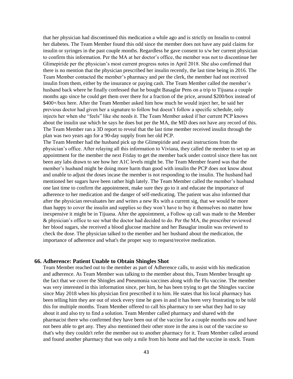that her physician had discontinued this medication a while ago and is strictly on Insulin to control her diabetes. The Team Member found this odd since the member does not have any paid claims for insulin or syringes in the past couple months. Regardless he gave consent to s/w her current physician to confirm this information. Per the MA at her doctor's office, the member was not to discontinue her Glimepiride per the physician's most current progress notes in April 2018. She also confirmed that there is no mention that the physician prescribed her insulin recently, the last time being in 2016. The Team Member contacted the member's pharmacy and per the clerk, the member had not received insulin from them, either by the insurance or paying cash. The Team Member called the member's husband back where he finally confessed that he bought Basaglar Pens on a trip to Tijuana a couple months ago since he could get them over there for a fraction of the price, around \$200/box instead of \$400+/box here. After the Team Member asked him how much he would inject her, he said her previous doctor had given her a signature to follow but doesn't follow a specific schedule, only injects her when she "feels" like she needs it. The Team Member asked if her current PCP knows about the insulin use which he says he does but per the MA, the MD does not have any record of this. The Team Member ran a 3D report to reveal that the last time member received insulin through the plan was two years ago for a 90-day supply from her old PCP.

The Team Member had the husband pick up the Glimepiride and await instructions from the physician's office. After relaying all this information to Viviana, they called the member to set up an appointment for the member the next Friday to get the member back under control since there has not been any labs drawn to see how her A1C levels might be. The Team Member feared was that the member's husband might be doing more harm than good with insulin the PCP does not know about and unable to adjust the doses incase the member is not responding to the insulin. The husband had mentioned her sugars have been rather high lately. The Team Member called the member's husband one last time to confirm the appointment, make sure they go to it and educate the importance of adherence to her medication and the danger of self-medicating. The patient was also informed that after the physician reevaluates her and writes a new Rx with a current sig, that we would be more than happy to cover the insulin and supplies so they won't have to buy it themselves no matter how inexpensive it might be in Tijuana. After the appointment, a Follow up call was made to the Member & physician's office to see what the doctor had decided to do. Per the MA, the prescriber reviewed her blood sugars, she received a blood glucose machine and her Basaglar insulin was reviewed to check the dose. The physician talked to the member and her husband about the medication, the importance of adherence and what's the proper way to request/receive medication.

#### **66. Adherence: Patient Unable to Obtain Shingles Shot**

Team Member reached out to the member as part of Adherence calls, to assist with his medication and adherence. As Team Member was talking to the member about this, Team Member brought up the fact that we cover the Shingles and Pneumonia vaccines along with the Flu vaccine. The member was very interested in this information since, per him, he has been trying to get the Shingles vaccine since May 2018 when his physician first prescribed it to him. He states that his local pharmacy has been telling him they are out of stock every time he goes in and it has been very frustrating to be told this for multiple months. Team Member offered to call his pharmacy to see what they had to say about it and also try to find a solution. Team Member called pharmacy and shared with the pharmacist there who confirmed they have been out of the vaccine for a couple months now and have not been able to get any. They also mentioned their other store in the area is out of the vaccine so that's why they couldn't refer the member out to another pharmacy for it. Team Member called around and found another pharmacy that was only a mile from his home and had the vaccine in stock. Team